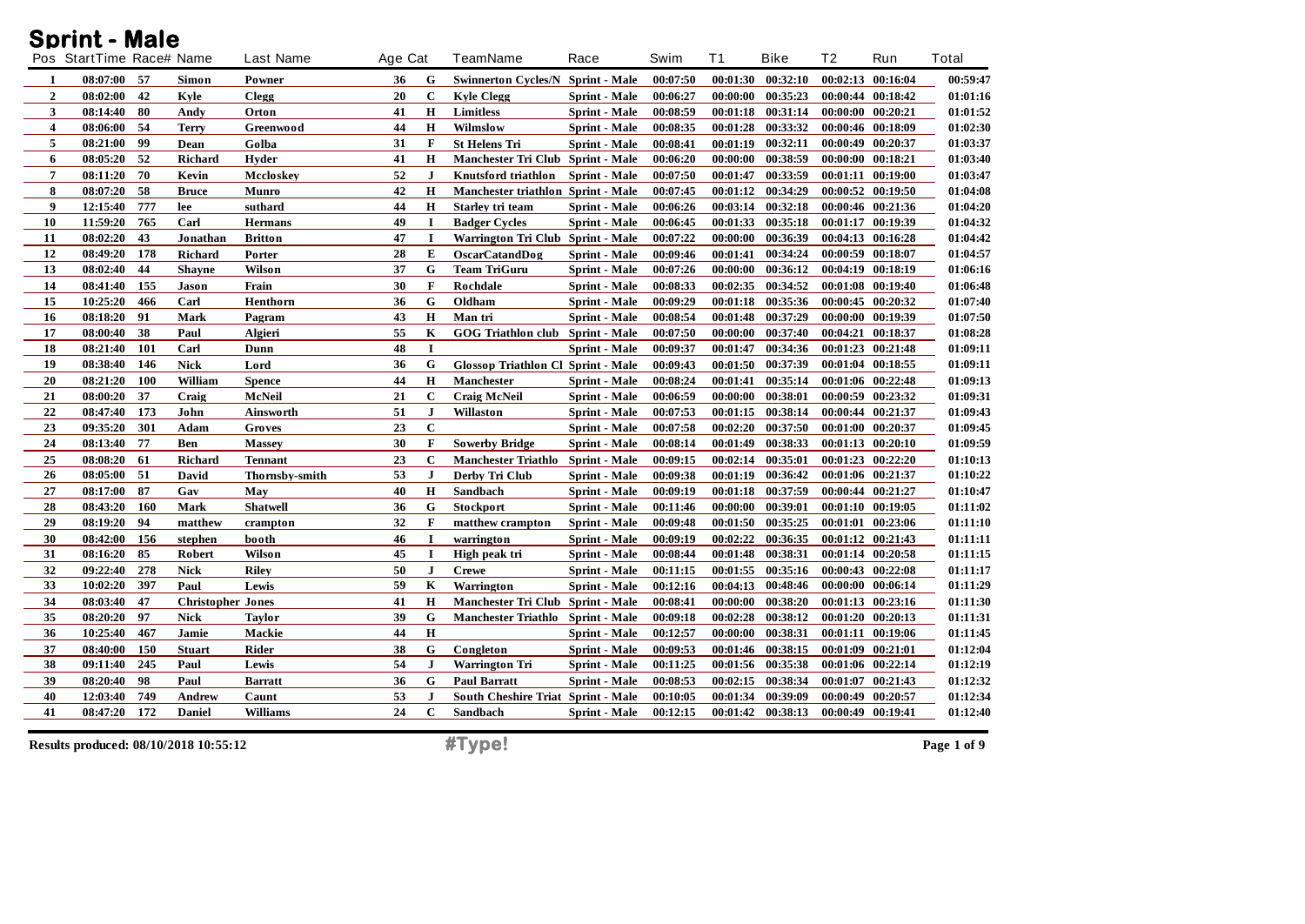|                  | Pos StartTime Race# Name |     |                          | <b>Last Name</b> | Age Cat |              | TeamName                                  | Race                 | Swim     | <b>T1</b> | <b>Bike</b>       | T <sub>2</sub> | Run               | <b>Total</b> |
|------------------|--------------------------|-----|--------------------------|------------------|---------|--------------|-------------------------------------------|----------------------|----------|-----------|-------------------|----------------|-------------------|--------------|
| 1                | 08:07:00                 | -57 | Simon                    | Powner           | 36      | G            | <b>Swinnerton Cycles/N Sprint - Male</b>  |                      | 00:07:50 |           | 00:01:30 00:32:10 |                | 00:02:13 00:16:04 | 00:59:47     |
| $\overline{2}$   | 08:02:00                 | 42  | Kyle                     | <b>Clegg</b>     | 20      | $\mathbf c$  | <b>Kyle Clegg</b>                         | <b>Sprint</b> - Male | 00:06:27 | 00:00:00  | 00:35:23          |                | 00:00:44 00:18:42 | 01:01:16     |
| 3                | 08:14:40                 | 80  | Andy                     | Orton            | 41      | $\mathbf H$  | Limitless                                 | Sprint - Male        | 00:08:59 | 00:01:18  | 00:31:14          |                | 00:00:00 00:20:21 | 01:01:52     |
| $\boldsymbol{4}$ | 08:06:00                 | 54  | <b>Terry</b>             | Greenwood        | 44      | H            | Wilmslow                                  | Sprint - Male        | 00:08:35 | 00:01:28  | 00:33:32          |                | 00:00:46 00:18:09 | 01:02:30     |
| 5                | 08:21:00                 | 99  | Dean                     | Golba            | 31      | $\mathbf{F}$ | <b>St Helens Tri</b>                      | <b>Sprint - Male</b> | 00:08:41 | 00:01:19  | 00:32:11          | 00:00:49       | 00:20:37          | 01:03:37     |
| 6                | 08:05:20                 | 52  | <b>Richard</b>           | Hyder            | 41      | $\mathbf H$  | Manchester Tri Club Sprint - Male         |                      | 00:06:20 | 00:00:00  | 00:38:59          | 00:00:00       | 00:18:21          | 01:03:40     |
| $\overline{7}$   | 08:11:20                 | 70  | Kevin                    | Mccloskey        | 52      | $\mathbf{J}$ | Knutsford triathlon                       | <b>Sprint</b> - Male | 00:07:50 | 00:01:47  | 00:33:59          | 00:01:11       | 00:19:00          | 01:03:47     |
| 8                | 08:07:20                 | 58  | <b>Bruce</b>             | Munro            | 42      | H            | Manchester triathlon Sprint - Male        |                      | 00:07:45 | 00:01:12  | 00:34:29          |                | 00:00:52 00:19:50 | 01:04:08     |
| 9                | 12:15:40                 | 777 | lee                      | suthard          | 44      | $\mathbf H$  | Starley tri team                          | <b>Sprint</b> - Male | 00:06:26 | 00:03:14  | 00:32:18          |                | 00:00:46 00:21:36 | 01:04:20     |
| 10               | 11:59:20                 | 765 | Carl                     | <b>Hermans</b>   | 49      | -1           | <b>Badger Cycles</b>                      | Sprint - Male        | 00:06:45 | 00:01:33  | 00:35:18          |                | 00:01:17 00:19:39 | 01:04:32     |
| 11               | 08:02:20                 | 43  | Jonathan                 | <b>Britton</b>   | 47      | $\mathbf I$  | Warrington Tri Club Sprint - Male         |                      | 00:07:22 | 00:00:00  | 00:36:39          |                | 00:04:13 00:16:28 | 01:04:42     |
| 12               | 08:49:20                 | 178 | <b>Richard</b>           | Porter           | 28      | E            | <b>OscarCatandDog</b>                     | <b>Sprint</b> - Male | 00:09:46 | 00:01:41  | 00:34:24          |                | 00:00:59 00:18:07 | 01:04:57     |
| 13               | 08:02:40                 | 44  | <b>Shayne</b>            | Wilson           | 37      | G            | <b>Team TriGuru</b>                       | Sprint - Male        | 00:07:26 | 00:00:00  | 00:36:12          |                | 00:04:19 00:18:19 | 01:06:16     |
| 14               | 08:41:40                 | 155 | Jason                    | Frain            | 30      | $\mathbf{F}$ | Rochdale                                  | <b>Sprint</b> - Male | 00:08:33 | 00:02:35  | 00:34:52          |                | 00:01:08 00:19:40 | 01:06:48     |
| 15               | 10:25:20                 | 466 | Carl                     | Henthorn         | 36      | G            | Oldham                                    | <b>Sprint</b> - Male | 00:09:29 | 00:01:18  | 00:35:36          |                | 00:00:45 00:20:32 | 01:07:40     |
| 16               | 08:18:20                 | 91  | <b>Mark</b>              | Pagram           | 43      | $\mathbf H$  | Man tri                                   | Sprint - Male        | 00:08:54 | 00:01:48  | 00:37:29          | 00:00:00       | 00:19:39          | 01:07:50     |
| 17               | 08:00:40                 | 38  | Paul                     | Algieri          | 55      | K            | GOG Triathlon club Sprint - Male          |                      | 00:07:50 | 00:00:00  | 00:37:40          | 00:04:21       | 00:18:37          | 01:08:28     |
| 18               | 08:21:40                 | 101 | Carl                     | Dunn             | 48      | $\mathbf I$  |                                           | <b>Sprint</b> - Male | 00:09:37 | 00:01:47  | 00:34:36          |                | 00:01:23 00:21:48 | 01:09:11     |
| 19               | 08:38:40                 | 146 | <b>Nick</b>              | Lord             | 36      | G            | Glossop Triathlon Cl Sprint - Male        |                      | 00:09:43 | 00:01:50  | 00:37:39          |                | 00:01:04 00:18:55 | 01:09:11     |
| 20               | 08:21:20                 | 100 | William                  | <b>Spence</b>    | 44      | $\mathbf H$  | Manchester                                | <b>Sprint - Male</b> | 00:08:24 | 00:01:41  | 00:35:14          | 00:01:06       | 00:22:48          | 01:09:13     |
| 21               | 08:00:20                 | 37  | Craig                    | McNeil           | 21      | $\mathbf C$  | <b>Craig McNeil</b>                       | Sprint - Male        | 00:06:59 | 00:00:00  | 00:38:01          |                | 00:00:59 00:23:32 | 01:09:31     |
| 22               | 08:47:40                 | 173 | John                     | <b>Ainsworth</b> | 51      | $\bf J$      | Willaston                                 | Sprint - Male        | 00:07:53 | 00:01:15  | 00:38:14          |                | 00:00:44 00:21:37 | 01:09:43     |
| 23               | 09:35:20                 | 301 | Adam                     | Groves           | 23      | $\mathbf C$  |                                           | Sprint - Male        | 00:07:58 | 00:02:20  | 00:37:50          |                | 00:01:00 00:20:37 | 01:09:45     |
| 24               | 08:13:40                 | 77  | Ben                      | <b>Massey</b>    | 30      | $\mathbf F$  | <b>Sowerby Bridge</b>                     | <b>Sprint - Male</b> | 00:08:14 | 00:01:49  | 00:38:33          | 00:01:13       | 00:20:10          | 01:09:59     |
| 25               | 08:08:20                 | 61  | Richard                  | <b>Tennant</b>   | 23      | $\mathbf C$  | <b>Manchester Triathlo</b>                | <b>Sprint - Male</b> | 00:09:15 | 00:02:14  | 00:35:01          |                | 00:01:23 00:22:20 | 01:10:13     |
| 26               | 08:05:00                 | 51  | <b>David</b>             | Thornsby-smith   | 53      | $\mathbf{J}$ | Derby Tri Club                            | Sprint - Male        | 00:09:38 | 00:01:19  | 00:36:42          |                | 00:01:06 00:21:37 | 01:10:22     |
| 27               | 08:17:00                 | 87  | Gav                      | May              | 40      | H            | Sandbach                                  | <b>Sprint - Male</b> | 00:09:19 | 00:01:18  | 00:37:59          |                | 00:00:44 00:21:27 | 01:10:47     |
| ${\bf 28}$       | 08:43:20                 | 160 | <b>Mark</b>              | <b>Shatwell</b>  | 36      | G            | <b>Stockport</b>                          | Sprint - Male        | 00:11:46 | 00:00:00  | 00:39:01          |                | 00:01:10 00:19:05 | 01:11:02     |
| 29               | 08:19:20                 | 94  | matthew                  | crampton         | 32      | $\mathbf F$  | matthew crampton                          | Sprint - Male        | 00:09:48 | 00:01:50  | 00:35:25          |                | 00:01:01 00:23:06 | 01:11:10     |
| 30               | 08:42:00                 | 156 | stephen                  | booth            | 46      | $\bf{I}$     | warrington                                | <b>Sprint</b> - Male | 00:09:19 | 00:02:22  | 00:36:35          |                | 00:01:12 00:21:43 | 01:11:11     |
| 31               | 08:16:20                 | 85  | Robert                   | Wilson           | 45      | $\mathbf I$  | High peak tri                             | Sprint - Male        | 00:08:44 | 00:01:48  | 00:38:31          |                | 00:01:14 00:20:58 | 01:11:15     |
| 32               | 09:22:40                 | 278 | <b>Nick</b>              | <b>Riley</b>     | 50      | $\bf{J}$     | <b>Crewe</b>                              | <b>Sprint</b> - Male | 00:11:15 | 00:01:55  | 00:35:16          |                | 00:00:43 00:22:08 | 01:11:17     |
| 33               | 10:02:20                 | 397 | Paul                     | Lewis            | 59      | K            | Warrington                                | <b>Sprint</b> - Male | 00:12:16 | 00:04:13  | 00:48:46          | 00:00:00       | 00:06:14          | 01:11:29     |
| 34               | 08:03:40                 | 47  | <b>Christopher Jones</b> |                  | 41      | $\mathbf H$  | Manchester Tri Club Sprint - Male         |                      | 00:08:41 | 00:00:00  | 00:38:20          |                | 00:01:13 00:23:16 | 01:11:30     |
| 35               | 08:20:20                 | 97  | <b>Nick</b>              | <b>Taylor</b>    | 39      | G            | Manchester Triathlo Sprint - Male         |                      | 00:09:18 | 00:02:28  | 00:38:12          | 00:01:20       | 00:20:13          | 01:11:31     |
| 36               | 10:25:40                 | 467 | Jamie                    | Mackie           | 44      | H            |                                           | <b>Sprint</b> - Male | 00:12:57 | 00:00:00  | 00:38:31          | 00:01:11       | 00:19:06          | 01:11:45     |
| 37               | 08:40:00                 | 150 | <b>Stuart</b>            | Rider            | 38      | G            | Congleton                                 | Sprint - Male        | 00:09:53 | 00:01:46  | 00:38:15          | 00:01:09       | 00:21:01          | 01:12:04     |
| 38               | 09:11:40                 | 245 | Paul                     | Lewis            | 54      | $\bf J$      | <b>Warrington Tri</b>                     | Sprint - Male        | 00:11:25 | 00:01:56  | 00:35:38          |                | 00:01:06 00:22:14 | 01:12:19     |
| 39               | 08:20:40                 | 98  | Paul                     | <b>Barratt</b>   | 36      | G            | <b>Paul Barratt</b>                       | <b>Sprint</b> - Male | 00:08:53 | 00:02:15  | 00:38:34          | 00:01:07       | 00:21:43          | 01:12:32     |
| 40               | 12:03:40                 | 749 | Andrew                   | Caunt            | 53      | J            | <b>South Cheshire Triat Sprint - Male</b> |                      | 00:10:05 | 00:01:34  | 00:39:09          | 00:00:49       | 00:20:57          | 01:12:34     |
| 41               | 08:47:20                 | 172 | <b>Daniel</b>            | <b>Williams</b>  | 24      | $\mathbf C$  | Sandbach                                  | Sprint - Male        | 00:12:15 |           | 00:01:42 00:38:13 |                | 00:00:49 00:19:41 | 01:12:40     |

**Results produced: 08/10/2018 10:55:12 #Type! Page 1 of 9**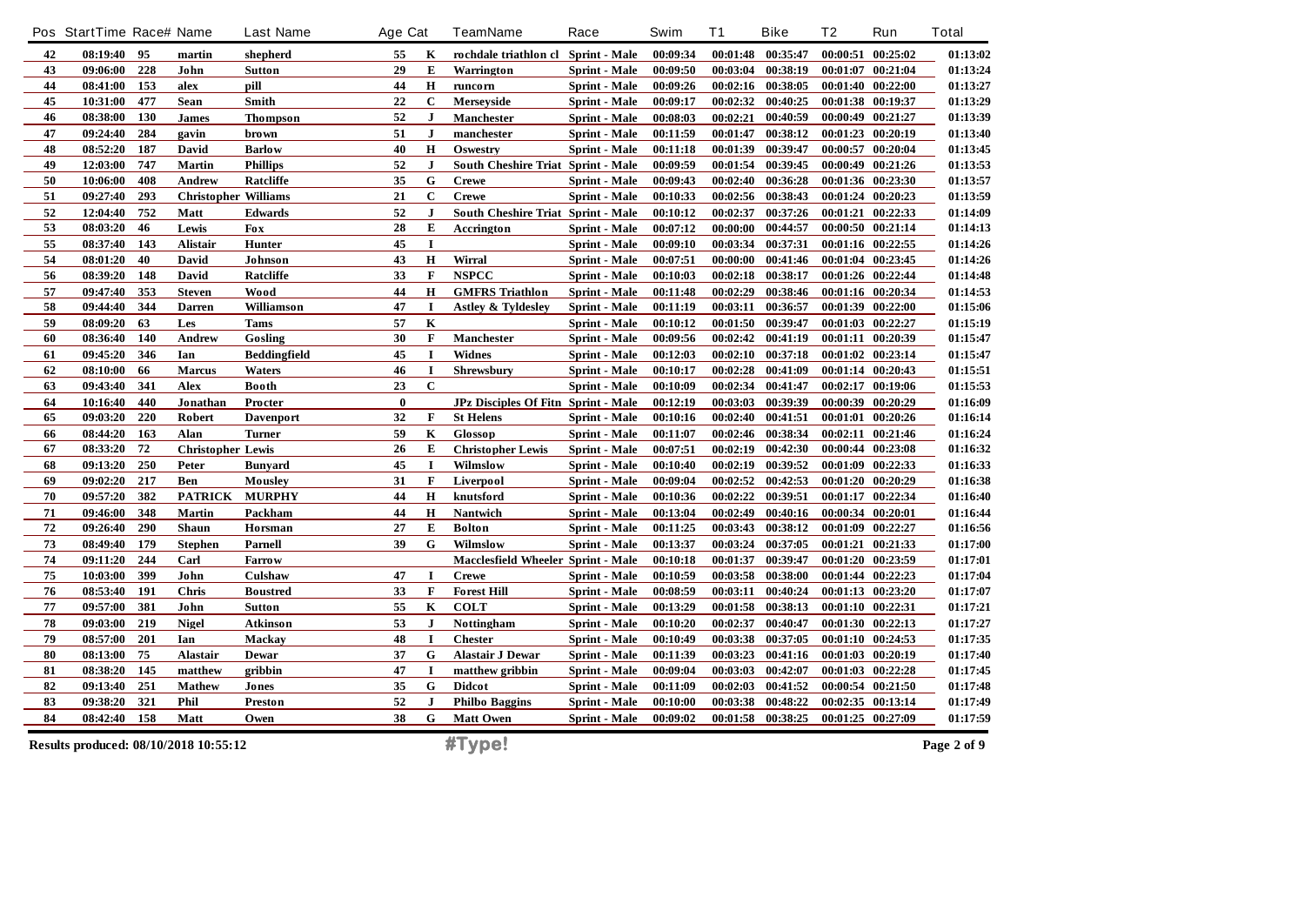|            | Pos StartTime Race# Name              |     |                             | <b>Last Name</b>    | Age Cat  |              | <b>TeamName</b>                     | Race                 | Swim     | <b>T1</b> | <b>Bike</b>       | Τ2       | Run               | <b>Total</b> |
|------------|---------------------------------------|-----|-----------------------------|---------------------|----------|--------------|-------------------------------------|----------------------|----------|-----------|-------------------|----------|-------------------|--------------|
| 42         | 08:19:40                              | 95  | martin                      | shepherd            | 55       | K            | rochdale triathlon cl Sprint - Male |                      | 00:09:34 | 00:01:48  | 00:35:47          |          | 00:00:51 00:25:02 | 01:13:02     |
| 43         | 09:06:00                              | 228 | John                        | <b>Sutton</b>       | 29       | E            | Warrington                          | Sprint - Male        | 00:09:50 | 00:03:04  | 00:38:19          |          | 00:01:07 00:21:04 | 01:13:24     |
| 44         | 08:41:00                              | 153 | alex                        | pill                | 44       | H            | runcorn                             | <b>Sprint</b> - Male | 00:09:26 | 00:02:16  | 00:38:05          |          | 00:01:40 00:22:00 | 01:13:27     |
| 45         | 10:31:00                              | 477 | Sean                        | Smith               | 22       | $\mathbf C$  | Merseyside                          | Sprint - Male        | 00:09:17 | 00:02:32  | 00:40:25          |          | 00:01:38 00:19:37 | 01:13:29     |
| 46         | 08:38:00                              | 130 | <b>James</b>                | <b>Thompson</b>     | 52       | $\mathbf{J}$ | Manchester                          | Sprint - Male        | 00:08:03 | 00:02:21  | 00:40:59          |          | 00:00:49 00:21:27 | 01:13:39     |
| 47         | 09:24:40                              | 284 | gavin                       | <b>brown</b>        | 51       | $\bf J$      | manchester                          | <b>Sprint</b> - Male | 00:11:59 | 00:01:47  | 00:38:12          |          | 00:01:23 00:20:19 | 01:13:40     |
| 48         | 08:52:20                              | 187 | David                       | <b>Barlow</b>       | 40       | H            | Oswestry                            | Sprint - Male        | 00:11:18 | 00:01:39  | 00:39:47          |          | 00:00:57 00:20:04 | 01:13:45     |
| 49         | 12:03:00                              | 747 | <b>Martin</b>               | <b>Phillips</b>     | 52       | ${\bf J}$    | South Cheshire Triat Sprint - Male  |                      | 00:09:59 | 00:01:54  | 00:39:45          |          | 00:00:49 00:21:26 | 01:13:53     |
| 50         | 10:06:00                              | 408 | Andrew                      | Ratcliffe           | 35       | G            | <b>Crewe</b>                        | <b>Sprint</b> - Male | 00:09:43 | 00:02:40  | 00:36:28          |          | 00:01:36 00:23:30 | 01:13:57     |
| 51         | 09:27:40                              | 293 | <b>Christopher Williams</b> |                     | 21       | $\mathbf C$  | <b>Crewe</b>                        | Sprint - Male        | 00:10:33 |           | 00:02:56 00:38:43 |          | 00:01:24 00:20:23 | 01:13:59     |
| 52         | 12:04:40                              | 752 | Matt                        | <b>Edwards</b>      | 52       | $\mathbf{J}$ | South Cheshire Triat Sprint - Male  |                      | 00:10:12 | 00:02:37  | 00:37:26          | 00:01:21 | 00:22:33          | 01:14:09     |
| 53         | 08:03:20                              | 46  | Lewis                       | <b>Fox</b>          | 28       | E            | Accrington                          | Sprint - Male        | 00:07:12 | 00:00:00  | 00:44:57          |          | 00:00:50 00:21:14 | 01:14:13     |
| 55         | 08:37:40                              | 143 | Alistair                    | Hunter              | 45       | $\mathbf I$  |                                     | Sprint - Male        | 00:09:10 | 00:03:34  | 00:37:31          |          | 00:01:16 00:22:55 | 01:14:26     |
| 54         | 08:01:20                              | 40  | David                       | Johnson             | 43       | H            | Wirral                              | Sprint - Male        | 00:07:51 | 00:00:00  | 00:41:46          |          | 00:01:04 00:23:45 | 01:14:26     |
| 56         | 08:39:20                              | 148 | David                       | Ratcliffe           | 33       | $\mathbf{F}$ | <b>NSPCC</b>                        | <b>Sprint - Male</b> | 00:10:03 | 00:02:18  | 00:38:17          |          | 00:01:26 00:22:44 | 01:14:48     |
| 57         | 09:47:40                              | 353 | <b>Steven</b>               | Wood                | 44       | H            | <b>GMFRS Triathlon</b>              | Sprint - Male        | 00:11:48 | 00:02:29  | 00:38:46          |          | 00:01:16 00:20:34 | 01:14:53     |
| 58         | 09:44:40                              | 344 | <b>Darren</b>               | Williamson          | 47       | I            | Astley & Tyldesley                  | Sprint - Male        | 00:11:19 | 00:03:11  | 00:36:57          |          | 00:01:39 00:22:00 | 01:15:06     |
| 59         | 08:09:20                              | 63  | Les                         | <b>Tams</b>         | 57       | $\mathbf K$  |                                     | <b>Sprint - Male</b> | 00:10:12 | 00:01:50  | 00:39:47          |          | 00:01:03 00:22:27 | 01:15:19     |
| 60         | 08:36:40                              | 140 | Andrew                      | Gosling             | 30       | $\mathbf F$  | <b>Manchester</b>                   | Sprint - Male        | 00:09:56 | 00:02:42  | 00:41:19          |          | 00:01:11 00:20:39 | 01:15:47     |
| 61         | 09:45:20                              | 346 | Ian                         | <b>Beddingfield</b> | 45       | $\mathbf I$  | <b>Widnes</b>                       | Sprint - Male        | 00:12:03 | 00:02:10  | 00:37:18          |          | 00:01:02 00:23:14 | 01:15:47     |
| 62         | 08:10:00                              | 66  | <b>Marcus</b>               | Waters              | 46       | $\mathbf I$  | Shrewsbury                          | <b>Sprint - Male</b> | 00:10:17 | 00:02:28  | 00:41:09          |          | 00:01:14 00:20:43 | 01:15:51     |
| 63         | 09:43:40                              | 341 | Alex                        | <b>Booth</b>        | 23       | $\mathbf C$  |                                     | Sprint - Male        | 00:10:09 | 00:02:34  | 00:41:47          |          | 00:02:17 00:19:06 | 01:15:53     |
| 64         | 10:16:40                              | 440 | Jonathan                    | Procter             | $\bf{0}$ |              | JPz Disciples Of Fitn Sprint - Male |                      | 00:12:19 | 00:03:03  | 00:39:39          |          | 00:00:39 00:20:29 | 01:16:09     |
| 65         | 09:03:20                              | 220 | Robert                      | <b>Davenport</b>    | 32       | $\mathbf F$  | <b>St Helens</b>                    | <b>Sprint - Male</b> | 00:10:16 | 00:02:40  | 00:41:51          | 00:01:01 | 00:20:26          | 01:16:14     |
| 66         | 08:44:20                              | 163 | Alan                        | <b>Turner</b>       | 59       | $\mathbf K$  | Glossop                             | Sprint - Male        | 00:11:07 | 00:02:46  | 00:38:34          |          | 00:02:11 00:21:46 | 01:16:24     |
| 67         | 08:33:20                              | 72  | <b>Christopher Lewis</b>    |                     | 26       | E            | <b>Christopher Lewis</b>            | Sprint - Male        | 00:07:51 | 00:02:19  | 00:42:30          |          | 00:00:44 00:23:08 | 01:16:32     |
| 68         | 09:13:20                              | 250 | Peter                       | <b>Bunyard</b>      | 45       | $\mathbf I$  | Wilmslow                            | <b>Sprint - Male</b> | 00:10:40 | 00:02:19  | 00:39:52          |          | 00:01:09 00:22:33 | 01:16:33     |
| 69         | 09:02:20                              | 217 | <b>Ben</b>                  | <b>Mousley</b>      | 31       | $\mathbf F$  | Liverpool                           | Sprint - Male        | 00:09:04 | 00:02:52  | 00:42:53          |          | 00:01:20 00:20:29 | 01:16:38     |
| 70         | 09:57:20                              | 382 | <b>PATRICK</b>              | <b>MURPHY</b>       | 44       | H            | knutsford                           | Sprint - Male        | 00:10:36 | 00:02:22  | 00:39:51          |          | 00:01:17 00:22:34 | 01:16:40     |
| 71         | 09:46:00                              | 348 | Martin                      | Packham             | 44       | H            | Nantwich                            | Sprint - Male        | 00:13:04 | 00:02:49  | 00:40:16          |          | 00:00:34 00:20:01 | 01:16:44     |
| 72         | 09:26:40                              | 290 | <b>Shaun</b>                | Horsman             | 27       | E            | <b>Bolton</b>                       | Sprint - Male        | 00:11:25 | 00:03:43  | 00:38:12          | 00:01:09 | 00:22:27          | 01:16:56     |
| 73         | 08:49:40                              | 179 | <b>Stephen</b>              | Parnell             | 39       | G            | Wilmslow                            | <b>Sprint - Male</b> | 00:13:37 | 00:03:24  | 00:37:05          |          | 00:01:21 00:21:33 | 01:17:00     |
| 74         | 09:11:20                              | 244 | Carl                        | <b>Farrow</b>       |          |              | Macclesfield Wheeler Sprint - Male  |                      | 00:10:18 | 00:01:37  | 00:39:47          |          | 00:01:20 00:23:59 | 01:17:01     |
| ${\bf 75}$ | 10:03:00                              | 399 | John                        | Culshaw             | 47       | $\mathbf I$  | <b>Crewe</b>                        | Sprint - Male        | 00:10:59 | 00:03:58  | 00:38:00          |          | 00:01:44 00:22:23 | 01:17:04     |
| 76         | 08:53:40                              | 191 | <b>Chris</b>                | <b>Boustred</b>     | 33       | $\mathbf F$  | <b>Forest Hill</b>                  | Sprint - Male        | 00:08:59 | 00:03:11  | 00:40:24          |          | 00:01:13 00:23:20 | 01:17:07     |
| 77         | 09:57:00                              | 381 | John                        | <b>Sutton</b>       | 55       | K            | <b>COLT</b>                         | <b>Sprint - Male</b> | 00:13:29 | 00:01:58  | 00:38:13          |          | 00:01:10 00:22:31 | 01:17:21     |
| 78         | 09:03:00                              | 219 | <b>Nigel</b>                | <b>Atkinson</b>     | 53       | $\bf J$      | <b>Nottingham</b>                   | Sprint - Male        | 00:10:20 | 00:02:37  | 00:40:47          |          | 00:01:30 00:22:13 | 01:17:27     |
| 79         | 08:57:00                              | 201 | Ian                         | Mackay              | 48       | $\mathbf I$  | <b>Chester</b>                      | Sprint - Male        | 00:10:49 | 00:03:38  | 00:37:05          |          | 00:01:10 00:24:53 | 01:17:35     |
| 80         | 08:13:00                              | 75  | <b>Alastair</b>             | Dewar               | 37       | G            | <b>Alastair J Dewar</b>             | <b>Sprint</b> - Male | 00:11:39 | 00:03:23  | 00:41:16          | 00:01:03 | 00:20:19          | 01:17:40     |
| 81         | 08:38:20                              | 145 | matthew                     | gribbin             | 47       | $\mathbf I$  | matthew gribbin                     | Sprint - Male        | 00:09:04 | 00:03:03  | 00:42:07          |          | 00:01:03 00:22:28 | 01:17:45     |
| 82         | 09:13:40                              | 251 | <b>Mathew</b>               | Jones               | 35       | G            | <b>Didcot</b>                       | Sprint - Male        | 00:11:09 | 00:02:03  | 00:41:52          |          | 00:00:54 00:21:50 | 01:17:48     |
| 83         | 09:38:20                              | 321 | Phil                        | Preston             | 52       | $\mathbf{J}$ | <b>Philbo Baggins</b>               | Sprint - Male        | 00:10:00 | 00:03:38  | 00:48:22          |          | 00:02:35 00:13:14 | 01:17:49     |
| 84         | 08:42:40                              | 158 | Matt                        | Owen                | 38       | G            | <b>Matt Owen</b>                    | Sprint - Male        | 00:09:02 |           | 00:01:58 00:38:25 |          | 00:01:25 00:27:09 | 01:17:59     |
|            | Results produced: 08/10/2018 10:55:12 |     |                             |                     |          |              | #Type!                              |                      |          |           |                   |          |                   | Page 2 of 9  |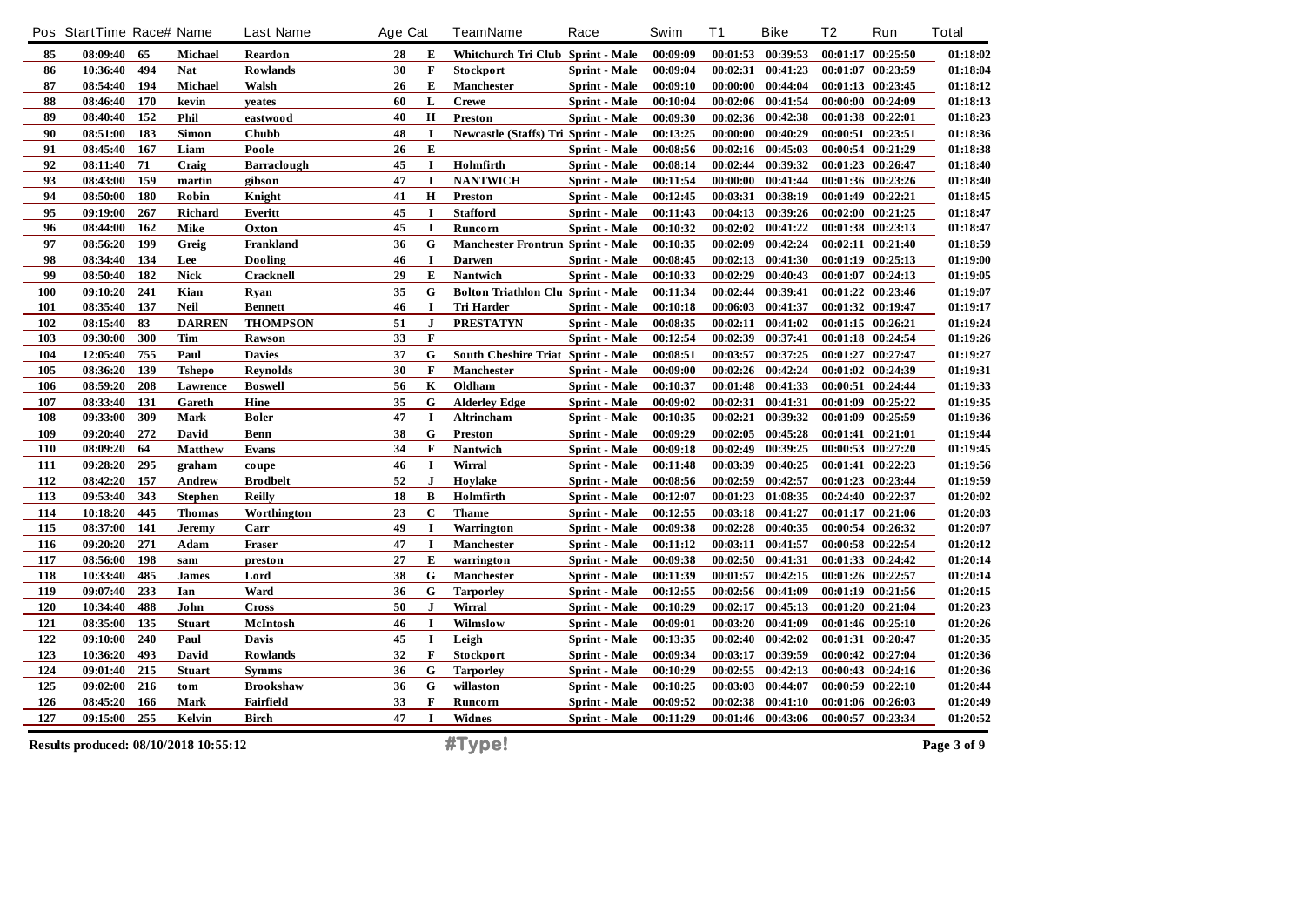|            | Pos StartTime Race# Name |            |                                       | <b>Last Name</b>                 | Age Cat  |                  | <b>TeamName</b>                             | Race                           | Swim                 | <b>T1</b>            | <b>Bike</b>          | T <sub>2</sub> | Run                                    | <b>Total</b>         |
|------------|--------------------------|------------|---------------------------------------|----------------------------------|----------|------------------|---------------------------------------------|--------------------------------|----------------------|----------------------|----------------------|----------------|----------------------------------------|----------------------|
| 85         | 08:09:40                 | 65         | Michael                               | Reardon                          | 28       | E                | Whitchurch Tri Club Sprint - Male           |                                | 00:09:09             |                      | 00:01:53 00:39:53    |                | 00:01:17 00:25:50                      | 01:18:02             |
| 86         | 10:36:40                 | 494        | <b>Nat</b>                            | Rowlands                         | 30       | $\mathbf{F}$     | Stockport                                   | <b>Sprint</b> - Male           | 00:09:04             | 00:02:31             | 00:41:23             | 00:01:07       | 00:23:59                               | 01:18:04             |
| 87         | 08:54:40                 | 194        | <b>Michael</b>                        | Walsh                            | 26       | E                | <b>Manchester</b>                           | <b>Sprint</b> - Male           | 00:09:10             | 00:00:00             | 00:44:04             |                | 00:01:13 00:23:45                      | 01:18:12             |
| 88         | 08:46:40                 | 170        | kevin                                 | yeates                           | 60       | L                | <b>Crewe</b>                                | <b>Sprint - Male</b>           | 00:10:04             | 00:02:06             | 00:41:54             |                | 00:00:00 00:24:09                      | 01:18:13             |
| 89         | 08:40:40                 | 152        | Phil                                  | eastwood                         | 40       | H                | Preston                                     | Sprint - Male                  | 00:09:30             | 00:02:36             | 00:42:38             | 00:01:38       | 00:22:01                               | 01:18:23             |
| 90         | 08:51:00                 | 183        | Simon                                 | <b>Chubb</b>                     | 48       | $\mathbf I$      | <b>Newcastle (Staffs) Tri Sprint - Male</b> |                                | 00:13:25             | 00:00:00             | 00:40:29             |                | 00:00:51 00:23:51                      | 01:18:36             |
| 91         | 08:45:40                 | 167        | Liam                                  | Poole                            | 26       | E                |                                             | <b>Sprint</b> - Male           | 00:08:56             | 00:02:16             | 00:45:03             |                | 00:00:54 00:21:29                      | 01:18:38             |
| 92         | 08:11:40                 | 71         | Craig                                 | Barraclough                      | 45       | I                | Holmfirth                                   | Sprint - Male                  | 00:08:14             | 00:02:44             | 00:39:32             |                | 00:01:23 00:26:47                      | 01:18:40             |
| 93         | 08:43:00                 | 159        | martin                                | gibson                           | 47       | $\mathbf I$      | <b>NANTWICH</b>                             | Sprint - Male                  | 00:11:54             | 00:00:00             | 00:41:44             |                | 00:01:36 00:23:26                      | 01:18:40             |
| 94         | 08:50:00                 | <b>180</b> | Robin                                 | Knight                           | 41       | H                | <b>Preston</b>                              | <b>Sprint</b> - Male           | 00:12:45             | 00:03:31             | 00:38:19             |                | 00:01:49 00:22:21                      | 01:18:45             |
| 95         | 09:19:00                 | 267        | <b>Richard</b>                        | Everitt                          | 45       | I                | <b>Stafford</b>                             | Sprint - Male                  | 00:11:43             | 00:04:13             | 00:39:26             |                | 00:02:00 00:21:25                      | 01:18:47             |
| 96         | 08:44:00                 | 162        | <b>Mike</b>                           | Oxton                            | 45       | $\bf{I}$         | Runcorn                                     | Sprint - Male                  | 00:10:32             | 00:02:02             | 00:41:22             |                | 00:01:38 00:23:13                      | 01:18:47             |
| 97         | 08:56:20                 | 199        | Greig                                 | Frankland                        | 36       | G                | <b>Manchester Frontrun Sprint - Male</b>    |                                | 00:10:35             | 00:02:09             | 00:42:24             | 00:02:11       | 00:21:40                               | 01:18:59             |
| 98         | 08:34:40                 | 134        | Lee                                   | Dooling                          | 46       | I                | <b>Darwen</b>                               | Sprint - Male                  | 00:08:45             | 00:02:13             | 00:41:30             |                | 00:01:19 00:25:13                      | 01:19:00             |
| 99         | 08:50:40                 | 182        | <b>Nick</b>                           | Cracknell                        | 29       | E                | <b>Nantwich</b>                             | <b>Sprint</b> - Male           | 00:10:33             | 00:02:29             | 00:40:43             |                | 00:01:07 00:24:13                      | 01:19:05             |
| 100        | 09:10:20                 | 241        | Kian                                  | Rvan                             | 35       | G                | <b>Bolton Triathlon Clu Sprint - Male</b>   |                                | 00:11:34             | 00:02:44             | 00:39:41             |                | 00:01:22 00:23:46                      | 01:19:07             |
| 101        | 08:35:40                 | 137        | <b>Neil</b>                           | <b>Bennett</b>                   | 46       | 1                | Tri Harder                                  | Sprint - Male                  | 00:10:18             | 00:06:03             | 00:41:37             |                | 00:01:32 00:19:47                      | 01:19:17             |
| 102        | 08:15:40                 | 83         | <b>DARREN</b>                         | <b>THOMPSON</b>                  | 51       | ${\bf J}$        | <b>PRESTATYN</b>                            | Sprint - Male                  | 00:08:35             | 00:02:11             | 00:41:02             |                | 00:01:15 00:26:21                      | 01:19:24             |
| 103        | 09:30:00                 | 300        | <b>Tim</b>                            | Rawson                           | 33       | $\mathbf F$      |                                             | <b>Sprint</b> - Male           | 00:12:54             | 00:02:39             | 00:37:41             |                | 00:01:18 00:24:54                      | 01:19:26             |
| 104        | 12:05:40                 | 755        | Paul                                  | <b>Davies</b>                    | 37       | G                | South Cheshire Triat Sprint - Male          |                                | 00:08:51             | 00:03:57             | 00:37:25             | 00:01:27       | 00:27:47                               | 01:19:27             |
| 105        | 08:36:20                 | 139        | <b>Tshepo</b>                         | <b>Reynolds</b>                  | 30       | F                | Manchester                                  | Sprint - Male                  | 00:09:00             | 00:02:26             | 00:42:24             |                | 00:01:02 00:24:39                      | 01:19:31             |
| 106        | 08:59:20                 | 208        | Lawrence                              | <b>Boswell</b>                   | 56       | $\mathbf K$      | Oldham                                      | Sprint - Male                  | 00:10:37             | 00:01:48             | 00:41:33             | 00:00:51       | 00:24:44                               | 01:19:33             |
| 107        | 08:33:40                 | 131        | Gareth                                | Hine                             | 35       | G                | <b>Alderley Edge</b>                        | Sprint - Male                  | 00:09:02             | 00:02:31             | 00:41:31             |                | 00:01:09 00:25:22                      | 01:19:35             |
| 108        | 09:33:00                 | 309        | Mark                                  | <b>Boler</b>                     | 47       | $\mathbf I$      | Altrincham                                  | Sprint - Male                  | 00:10:35             | 00:02:21             | 00:39:32             |                | 00:01:09 00:25:59                      | 01:19:36             |
| 109        | 09:20:40                 | 272        | David                                 | Benn                             | 38       | G                | <b>Preston</b>                              | Sprint - Male                  | 00:09:29             | 00:02:05             | 00:45:28             |                | 00:01:41 00:21:01                      | 01:19:44             |
| 110        | 08:09:20                 | 64         | <b>Matthew</b>                        | Evans                            | 34       | F                | Nantwich                                    | <b>Sprint - Male</b>           | 00:09:18             | 00:02:49             | 00:39:25             |                | 00:00:53 00:27:20                      | 01:19:45             |
| 111        | 09:28:20                 | 295        | graham                                | coupe                            | 46       | $\mathbf I$      | Wirral                                      | Sprint - Male                  | 00:11:48             | 00:03:39             | 00:40:25             |                | 00:01:41 00:22:23                      | 01:19:56             |
| 112        | 08:42:20                 | 157        | Andrew                                | <b>Brodbelt</b>                  | 52       | $\mathbf{J}$     | Hoylake                                     | <b>Sprint</b> - Male           | 00:08:56             | 00:02:59             | 00:42:57             |                | 00:01:23 00:23:44                      | 01:19:59             |
| 113        | 09:53:40                 | 343        | <b>Stephen</b>                        | <b>Reilly</b>                    | 18       | B                | Holmfirth                                   | <b>Sprint</b> - Male           | 00:12:07             | 00:01:23             | 01:08:35             |                | 00:24:40 00:22:37                      | 01:20:02             |
| 114        | 10:18:20                 | 445        | <b>Thomas</b>                         | Worthington                      | 23       | $\mathbf C$      | <b>Thame</b>                                | Sprint - Male                  | 00:12:55             | 00:03:18             | 00:41:27             |                | 00:01:17 00:21:06                      | 01:20:03             |
| 115        | 08:37:00                 | 141        | Jeremy                                | Carr                             | 49       | I                | Warrington                                  | Sprint - Male                  | 00:09:38             | 00:02:28             | 00:40:35             |                | 00:00:54 00:26:32                      | 01:20:07             |
| 116        | 09:20:20                 | 271        | Adam                                  | Fraser                           | 47       | 1                | <b>Manchester</b>                           | <b>Sprint - Male</b>           | 00:11:12             | 00:03:11             | 00:41:57             |                | 00:00:58 00:22:54                      | 01:20:12             |
| 117        | 08:56:00                 | 198        | sam                                   | preston                          | 27       | E                | warrington                                  | Sprint - Male                  | 00:09:38             | 00:02:50             | 00:41:31             |                | 00:01:33 00:24:42                      | 01:20:14             |
| 118        | 10:33:40                 | 485        | <b>James</b>                          | Lord                             | 38       | G                | Manchester                                  | Sprint - Male                  | 00:11:39             | 00:01:57             | 00:42:15             |                | 00:01:26 00:22:57                      | 01:20:14             |
| 119        | 09:07:40                 | 233        | Ian                                   | Ward                             | 36       | G                | <b>Tarporley</b>                            | <b>Sprint</b> - Male           | 00:12:55             | 00:02:56             | 00:41:09             |                | 00:01:19 00:21:56                      | 01:20:15             |
| 120        | 10:34:40                 | 488        | John                                  | <b>Cross</b>                     | 50       | J                | Wirral                                      | Sprint - Male                  | 00:10:29             |                      | 00:02:17 00:45:13    |                | 00:01:20 00:21:04                      | 01:20:23             |
| 121<br>122 | 08:35:00                 | 135<br>240 | <b>Stuart</b>                         | McIntosh                         | 46       | $\mathbf I$<br>I | Wilmslow                                    | Sprint - Male                  | 00:09:01             | 00:03:20             | 00:41:09             |                | 00:01:46 00:25:10                      | 01:20:26             |
|            | 09:10:00                 | 493        | Paul                                  | <b>Davis</b>                     | 45       |                  | Leigh                                       | Sprint - Male                  | 00:13:35             | 00:02:40             | 00:42:02             |                | 00:01:31 00:20:47                      | 01:20:35             |
| 123        | 10:36:20                 | 215        | David                                 | Rowlands                         | 32       | F<br>G           | Stockport                                   | Sprint - Male                  | 00:09:34             | 00:03:17             | 00:39:59             |                | 00:00:42 00:27:04                      | 01:20:36             |
| 124<br>125 | 09:01:40<br>09:02:00     | 216        | <b>Stuart</b><br>tom                  | <b>Symms</b><br><b>Brookshaw</b> | 36<br>36 | G                | <b>Tarporley</b><br>willaston               | Sprint - Male<br>Sprint - Male | 00:10:29<br>00:10:25 | 00:02:55<br>00:03:03 | 00:42:13<br>00:44:07 |                | 00:00:43 00:24:16<br>00:00:59 00:22:10 | 01:20:36<br>01:20:44 |
| 126        | 08:45:20                 | 166        |                                       |                                  | 33       | F                |                                             |                                |                      | 00:02:38             | 00:41:10             |                | 00:01:06 00:26:03                      | 01:20:49             |
| 127        | 09:15:00                 | 255        | Mark<br>Kelvin                        | Fairfield<br>Birch               | 47       | I                | <b>Runcorn</b><br><b>Widnes</b>             | Sprint - Male<br>Sprint - Male | 00:09:52<br>00:11:29 |                      | 00:01:46 00:43:06    |                | 00:00:57 00:23:34                      | 01:20:52             |
|            |                          |            |                                       |                                  |          |                  |                                             |                                |                      |                      |                      |                |                                        |                      |
|            |                          |            | Results produced: 08/10/2018 10:55:12 |                                  |          |                  | #Type!                                      |                                |                      |                      |                      |                |                                        | Page 3 of 9          |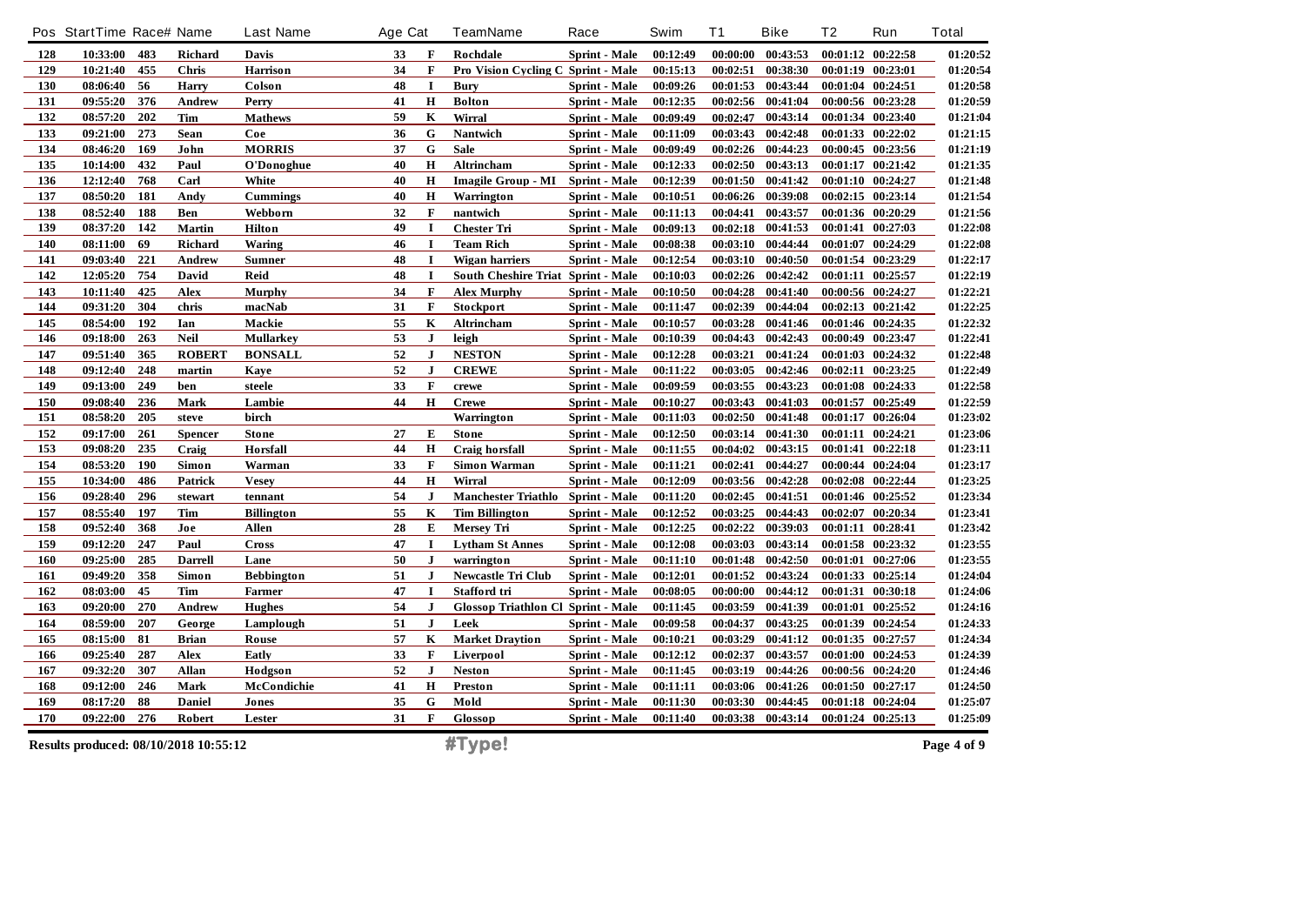|     | Pos StartTime Race# Name              |     |                | <b>Last Name</b>  | Age Cat |              | <b>TeamName</b>                           | Race                 | Swim     | <b>T1</b> | <b>Bike</b>       | T <sub>2</sub> | Run               | <b>Total</b> |
|-----|---------------------------------------|-----|----------------|-------------------|---------|--------------|-------------------------------------------|----------------------|----------|-----------|-------------------|----------------|-------------------|--------------|
| 128 | 10:33:00                              | 483 | <b>Richard</b> | Davis             | 33      | F            | Rochdale                                  | Sprint - Male        | 00:12:49 | 00:00:00  | 00:43:53          |                | 00:01:12 00:22:58 | 01:20:52     |
| 129 | 10:21:40                              | 455 | <b>Chris</b>   | Harrison          | 34      | $\mathbf F$  | <b>Pro Vision Cycling C Sprint - Male</b> |                      | 00:15:13 | 00:02:51  | 00:38:30          |                | 00:01:19 00:23:01 | 01:20:54     |
| 130 | 08:06:40                              | 56  | <b>Harry</b>   | Colson            | 48      | <b>I</b>     | Bury                                      | Sprint - Male        | 00:09:26 | 00:01:53  | 00:43:44          |                | 00:01:04 00:24:51 | 01:20:58     |
| 131 | 09:55:20                              | 376 | <b>Andrew</b>  | Perry             | 41      | $\mathbf H$  | <b>Bolton</b>                             | Sprint - Male        | 00:12:35 | 00:02:56  | 00:41:04          |                | 00:00:56 00:23:28 | 01:20:59     |
| 132 | 08:57:20                              | 202 | Tim            | <b>Mathews</b>    | 59      | $\mathbf K$  | Wirral                                    | <b>Sprint</b> - Male | 00:09:49 | 00:02:47  | 00:43:14          |                | 00:01:34 00:23:40 | 01:21:04     |
| 133 | 09:21:00                              | 273 | Sean           | Coe               | 36      | G            | Nantwich                                  | Sprint - Male        | 00:11:09 | 00:03:43  | 00:42:48          |                | 00:01:33 00:22:02 | 01:21:15     |
| 134 | 08:46:20                              | 169 | John           | <b>MORRIS</b>     | 37      | G            | <b>Sale</b>                               | Sprint - Male        | 00:09:49 |           | 00:02:26 00:44:23 |                | 00:00:45 00:23:56 | 01:21:19     |
| 135 | 10:14:00                              | 432 | Paul           | O'Donoghue        | 40      | $\mathbf H$  | Altrincham                                | Sprint - Male        | 00:12:33 | 00:02:50  | 00:43:13          |                | 00:01:17 00:21:42 | 01:21:35     |
| 136 | 12:12:40                              | 768 | Carl           | White             | 40      | $\mathbf H$  | Imagile Group - MI Sprint - Male          |                      | 00:12:39 | 00:01:50  | 00:41:42          |                | 00:01:10 00:24:27 | 01:21:48     |
| 137 | 08:50:20                              | 181 | Andy           | <b>Cummings</b>   | 40      | $\mathbf H$  | Warrington                                | Sprint - Male        | 00:10:51 | 00:06:26  | 00:39:08          |                | 00:02:15 00:23:14 | 01:21:54     |
| 138 | 08:52:40                              | 188 | Ben            | Webborn           | 32      | $\mathbf{F}$ | nantwich                                  | <b>Sprint</b> - Male | 00:11:13 | 00:04:41  | 00:43:57          |                | 00:01:36 00:20:29 | 01:21:56     |
| 139 | 08:37:20                              | 142 | Martin         | <b>Hilton</b>     | 49      | -1           | <b>Chester Tri</b>                        | Sprint - Male        | 00:09:13 | 00:02:18  | 00:41:53          |                | 00:01:41 00:27:03 | 01:22:08     |
| 140 | 08:11:00                              | 69  | <b>Richard</b> | Waring            | 46      | $\bf{I}$     | <b>Team Rich</b>                          | Sprint - Male        | 00:08:38 | 00:03:10  | 00:44:44          |                | 00:01:07 00:24:29 | 01:22:08     |
| 141 | 09:03:40                              | 221 | <b>Andrew</b>  | <b>Sumner</b>     | 48      | $\mathbf I$  | Wigan harriers                            | <b>Sprint - Male</b> | 00:12:54 | 00:03:10  | 00:40:50          |                | 00:01:54 00:23:29 | 01:22:17     |
| 142 | 12:05:20                              | 754 | <b>David</b>   | Reid              | 48      | $\mathbf I$  | South Cheshire Triat Sprint - Male        |                      | 00:10:03 | 00:02:26  | 00:42:42          |                | 00:01:11 00:25:57 | 01:22:19     |
| 143 | 10:11:40                              | 425 | Alex           | <b>Murphy</b>     | 34      | $\mathbf F$  | <b>Alex Murphy</b>                        | Sprint - Male        | 00:10:50 | 00:04:28  | 00:41:40          |                | 00:00:56 00:24:27 | 01:22:21     |
| 144 | 09:31:20                              | 304 | chris          | macNab            | 31      | $\mathbf{F}$ | Stockport                                 | <b>Sprint - Male</b> | 00:11:47 | 00:02:39  | 00:44:04          |                | 00:02:13 00:21:42 | 01:22:25     |
| 145 | 08:54:00                              | 192 | Ian            | Mackie            | 55      | $\mathbf K$  | Altrincham                                | Sprint - Male        | 00:10:57 | 00:03:28  | 00:41:46          |                | 00:01:46 00:24:35 | 01:22:32     |
| 146 | 09:18:00                              | 263 | <b>Neil</b>    | <b>Mullarkey</b>  | 53      | ${\bf J}$    | leigh                                     | <b>Sprint</b> - Male | 00:10:39 | 00:04:43  | 00:42:43          |                | 00:00:49 00:23:47 | 01:22:41     |
| 147 | 09:51:40                              | 365 | <b>ROBERT</b>  | <b>BONSALL</b>    | 52      | $\mathbf{J}$ | <b>NESTON</b>                             | Sprint - Male        | 00:12:28 | 00:03:21  | 00:41:24          |                | 00:01:03 00:24:32 | 01:22:48     |
| 148 | 09:12:40                              | 248 | martin         | Kaye              | 52      | $\bf J$      | <b>CREWE</b>                              | Sprint - Male        | 00:11:22 | 00:03:05  | 00:42:46          |                | 00:02:11 00:23:25 | 01:22:49     |
| 149 | 09:13:00                              | 249 | ben            | steele            | 33      | $\mathbf{F}$ | crewe                                     | <b>Sprint</b> - Male | 00:09:59 | 00:03:55  | 00:43:23          |                | 00:01:08 00:24:33 | 01:22:58     |
| 150 | 09:08:40                              | 236 | Mark           | Lambie            | 44      | $\mathbf H$  | <b>Crewe</b>                              | Sprint - Male        | 00:10:27 | 00:03:43  | 00:41:03          |                | 00:01:57 00:25:49 | 01:22:59     |
| 151 | 08:58:20                              | 205 | steve          | birch             |         |              | Warrington                                | Sprint - Male        | 00:11:03 | 00:02:50  | 00:41:48          |                | 00:01:17 00:26:04 | 01:23:02     |
| 152 | 09:17:00                              | 261 | <b>Spencer</b> | <b>Stone</b>      | 27      | E            | <b>Stone</b>                              | Sprint - Male        | 00:12:50 |           | 00:03:14 00:41:30 |                | 00:01:11 00:24:21 | 01:23:06     |
| 153 | 09:08:20                              | 235 | Craig          | Horsfall          | 44      | $\mathbf H$  | Craig horsfall                            | Sprint - Male        | 00:11:55 | 00:04:02  | 00:43:15          |                | 00:01:41 00:22:18 | 01:23:11     |
| 154 | 08:53:20                              | 190 | Simon          | Warman            | 33      | $\mathbf F$  | <b>Simon Warman</b>                       | Sprint - Male        | 00:11:21 | 00:02:41  | 00:44:27          |                | 00:00:44 00:24:04 | 01:23:17     |
| 155 | 10:34:00                              | 486 | Patrick        | Vesey             | 44      | $\mathbf H$  | Wirral                                    | <b>Sprint - Male</b> | 00:12:09 | 00:03:56  | 00:42:28          |                | 00:02:08 00:22:44 | 01:23:25     |
| 156 | 09:28:40                              | 296 | stewart        | tennant           | 54      | $\mathbf{J}$ | <b>Manchester Triathlo</b>                | <b>Sprint - Male</b> | 00:11:20 | 00:02:45  | 00:41:51          |                | 00:01:46 00:25:52 | 01:23:34     |
| 157 | 08:55:40                              | 197 | Tim            | <b>Billington</b> | 55      | $\mathbf K$  | <b>Tim Billington</b>                     | Sprint - Male        | 00:12:52 | 00:03:25  | 00:44:43          |                | 00:02:07 00:20:34 | 01:23:41     |
| 158 | 09:52:40                              | 368 | Joe            | <b>Allen</b>      | 28      | E            | Mersey Tri                                | Sprint - Male        | 00:12:25 | 00:02:22  | 00:39:03          |                | 00:01:11 00:28:41 | 01:23:42     |
| 159 | 09:12:20                              | 247 | Paul           | Cross             | 47      | $\mathbf I$  | <b>Lytham St Annes</b>                    | Sprint - Male        | 00:12:08 | 00:03:03  | 00:43:14          |                | 00:01:58 00:23:32 | 01:23:55     |
| 160 | 09:25:00                              | 285 | <b>Darrell</b> | Lane              | 50      | $\bf{J}$     | warrington                                | Sprint - Male        | 00:11:10 |           | 00:01:48 00:42:50 |                | 00:01:01 00:27:06 | 01:23:55     |
| 161 | 09:49:20                              | 358 | Simon          | <b>Bebbington</b> | 51      | $\bf J$      | <b>Newcastle Tri Club</b>                 | <b>Sprint - Male</b> | 00:12:01 | 00:01:52  | 00:43:24          |                | 00:01:33 00:25:14 | 01:24:04     |
| 162 | 08:03:00                              | 45  | Tim            | Farmer            | 47      | $\mathbf I$  | Stafford tri                              | <b>Sprint</b> - Male | 00:08:05 | 00:00:00  | 00:44:12          |                | 00:01:31 00:30:18 | 01:24:06     |
| 163 | 09:20:00                              | 270 | <b>Andrew</b>  | <b>Hughes</b>     | 54      | $\bf J$      | Glossop Triathlon Cl Sprint - Male        |                      | 00:11:45 | 00:03:59  | 00:41:39          |                | 00:01:01 00:25:52 | 01:24:16     |
| 164 | 08:59:00                              | 207 | George         | Lamplough         | 51      | $\mathbf{J}$ | Leek                                      | Sprint - Male        | 00:09:58 | 00:04:37  | 00:43:25          |                | 00:01:39 00:24:54 | 01:24:33     |
| 165 | 08:15:00                              | 81  | <b>Brian</b>   | Rouse             | 57      | $\mathbf K$  | <b>Market Draytion</b>                    | Sprint - Male        | 00:10:21 | 00:03:29  | 00:41:12          |                | 00:01:35 00:27:57 | 01:24:34     |
| 166 | 09:25:40                              | 287 | Alex           | Eatly             | 33      | $\mathbf F$  | Liverpool                                 | Sprint - Male        | 00:12:12 | 00:02:37  | 00:43:57          |                | 00:01:00 00:24:53 | 01:24:39     |
| 167 | 09:32:20                              | 307 | Allan          | Hodgson           | 52      | $\bf J$      | <b>Neston</b>                             | Sprint - Male        | 00:11:45 | 00:03:19  | 00:44:26          |                | 00:00:56 00:24:20 | 01:24:46     |
| 168 | 09:12:00                              | 246 | Mark           | McCondichie       | 41      | $\mathbf H$  | Preston                                   | Sprint - Male        | 00:11:11 | 00:03:06  | 00:41:26          |                | 00:01:50 00:27:17 | 01:24:50     |
| 169 | 08:17:20                              | 88  | <b>Daniel</b>  | Jones             | 35      | G            | Mold                                      | <b>Sprint</b> - Male | 00:11:30 | 00:03:30  | 00:44:45          |                | 00:01:18 00:24:04 | 01:25:07     |
| 170 | 09:22:00                              | 276 | Robert         | Lester            | 31      | F            | Glossop                                   | Sprint - Male        | 00:11:40 |           | 00:03:38 00:43:14 |                | 00:01:24 00:25:13 | 01:25:09     |
|     | Results produced: 08/10/2018 10:55:12 |     |                |                   |         |              | #Type!                                    |                      |          |           |                   |                |                   | Page 4 of 9  |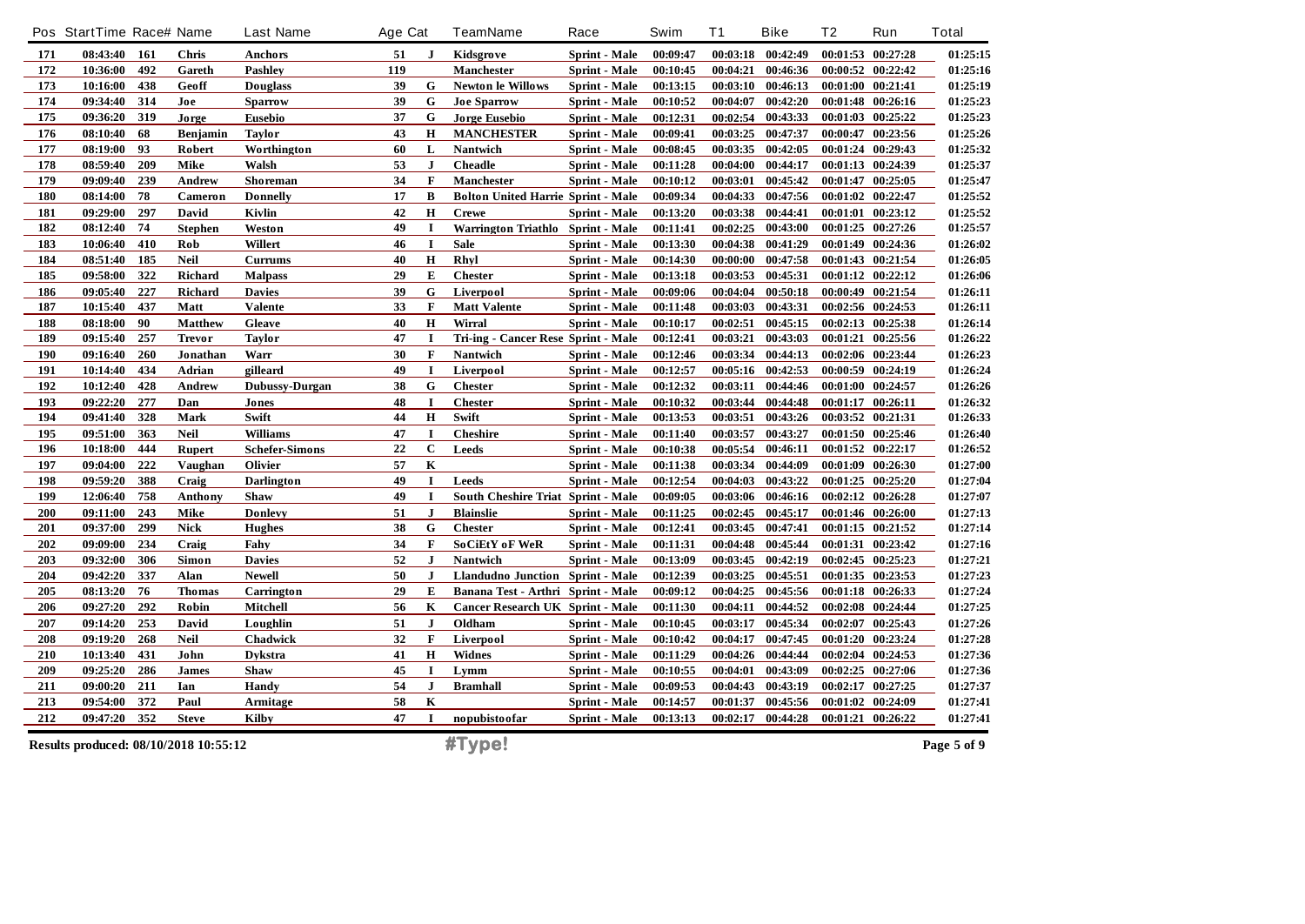|     | Pos StartTime Race# Name              |     |                 | <b>Last Name</b>      | Age Cat |              | TeamName                                  | Race                 | Swim     | T <sub>1</sub> | <b>Bike</b>         | T2       | Run               | <b>Total</b> |
|-----|---------------------------------------|-----|-----------------|-----------------------|---------|--------------|-------------------------------------------|----------------------|----------|----------------|---------------------|----------|-------------------|--------------|
| 171 | 08:43:40 161                          |     | Chris           | Anchors               | 51      | J            | <b>Kidsgrove</b>                          | Sprint - Male        | 00:09:47 |                | 00:03:18 00:42:49   |          | 00:01:53 00:27:28 | 01:25:15     |
| 172 | 10:36:00                              | 492 | Gareth          | <b>Pashley</b>        | 119     |              | <b>Manchester</b>                         | <b>Sprint</b> - Male | 00:10:45 | 00:04:21       | 00:46:36            | 00:00:52 | 00:22:42          | 01:25:16     |
| 173 | 10:16:00                              | 438 | Geoff           | <b>Douglass</b>       | 39      | G            | <b>Newton le Willows</b>                  | <b>Sprint</b> - Male | 00:13:15 | 00:03:10       | 00:46:13            | 00:01:00 | 00:21:41          | 01:25:19     |
| 174 | 09:34:40                              | 314 | Joe             | <b>Sparrow</b>        | 39      | ${\bf G}$    | <b>Joe Sparrow</b>                        | Sprint - Male        | 00:10:52 | 00:04:07       | 00:42:20            |          | 00:01:48 00:26:16 | 01:25:23     |
| 175 | 09:36:20                              | 319 | Jorge           | <b>Eusebio</b>        | 37      | $\mathbf G$  | <b>Jorge Eusebio</b>                      | <b>Sprint</b> - Male | 00:12:31 | 00:02:54       | 00:43:33            |          | 00:01:03 00:25:22 | 01:25:23     |
| 176 | 08:10:40                              | 68  | <b>Benjamin</b> | <b>Taylor</b>         | 43      | $\mathbf H$  | <b>MANCHESTER</b>                         | <b>Sprint - Male</b> | 00:09:41 |                | 00:03:25 00:47:37   |          | 00:00:47 00:23:56 | 01:25:26     |
| 177 | 08:19:00                              | 93  | Robert          | Worthington           | 60      | L            | Nantwich                                  | Sprint - Male        | 00:08:45 |                | 00:03:35 00:42:05   |          | 00:01:24 00:29:43 | 01:25:32     |
| 178 | 08:59:40                              | 209 | Mike            | Walsh                 | 53      | ${\bf J}$    | <b>Cheadle</b>                            | Sprint - Male        | 00:11:28 | 00:04:00       | 00:44:17            |          | 00:01:13 00:24:39 | 01:25:37     |
| 179 | 09:09:40                              | 239 | Andrew          | Shoreman              | 34      | F            | Manchester                                | <b>Sprint</b> - Male | 00:10:12 | 00:03:01       | 00:45:42            |          | 00:01:47 00:25:05 | 01:25:47     |
| 180 | 08:14:00                              | 78  | Cameron         | <b>Donnelly</b>       | 17      | B            | <b>Bolton United Harrie Sprint - Male</b> |                      | 00:09:34 |                | 00:04:33 00:47:56   |          | 00:01:02 00:22:47 | 01:25:52     |
| 181 | 09:29:00                              | 297 | David           | Kivlin                | 42      | $\mathbf H$  | <b>Crewe</b>                              | <b>Sprint</b> - Male | 00:13:20 | 00:03:38       | 00:44:41            | 00:01:01 | 00:23:12          | 01:25:52     |
| 182 | 08:12:40                              | 74  | <b>Stephen</b>  | Weston                | 49      | I            | Warrington Triathlo Sprint - Male         |                      | 00:11:41 |                | $00:02:25$ 00:43:00 |          | 00:01:25 00:27:26 | 01:25:57     |
| 183 | 10:06:40                              | 410 | Rob             | Willert               | 46      | $\mathbf I$  | <b>Sale</b>                               | Sprint - Male        | 00:13:30 | 00:04:38       | 00:41:29            |          | 00:01:49 00:24:36 | 01:26:02     |
| 184 | 08:51:40                              | 185 | <b>Neil</b>     | <b>Currums</b>        | 40      | $\mathbf H$  | Rhyl                                      | Sprint - Male        | 00:14:30 | 00:00:00       | 00:47:58            |          | 00:01:43 00:21:54 | 01:26:05     |
| 185 | 09:58:00                              | 322 | Richard         | <b>Malpass</b>        | 29      | E            | <b>Chester</b>                            | <b>Sprint - Male</b> | 00:13:18 | 00:03:53       | 00:45:31            |          | 00:01:12 00:22:12 | 01:26:06     |
| 186 | 09:05:40                              | 227 | Richard         | <b>Davies</b>         | 39      | G            | Liverpool                                 | Sprint - Male        | 00:09:06 | 00:04:04       | 00:50:18            |          | 00:00:49 00:21:54 | 01:26:11     |
| 187 | 10:15:40                              | 437 | Matt            | <b>Valente</b>        | 33      | F            | <b>Matt Valente</b>                       | Sprint - Male        | 00:11:48 | 00:03:03       | 00:43:31            |          | 00:02:56 00:24:53 | 01:26:11     |
| 188 | 08:18:00                              | 90  | <b>Matthew</b>  | Gleave                | 40      | $\mathbf H$  | Wirral                                    | <b>Sprint - Male</b> | 00:10:17 | 00:02:51       | 00:45:15            |          | 00:02:13 00:25:38 | 01:26:14     |
| 189 | 09:15:40                              | 257 | <b>Trevor</b>   | <b>Taylor</b>         | 47      | $\mathbf I$  | Tri-ing - Cancer Rese Sprint - Male       |                      | 00:12:41 | 00:03:21       | 00:43:03            |          | 00:01:21 00:25:56 | 01:26:22     |
| 190 | 09:16:40                              | 260 | Jonathan        | Warr                  | 30      | $\mathbf F$  | Nantwich                                  | Sprint - Male        | 00:12:46 | 00:03:34       | 00:44:13            |          | 00:02:06 00:23:44 | 01:26:23     |
| 191 | 10:14:40                              | 434 | Adrian          | gilleard              | 49      | $\mathbf I$  | Liverpool                                 | <b>Sprint</b> - Male | 00:12:57 |                | 00:05:16 00:42:53   |          | 00:00:59 00:24:19 | 01:26:24     |
| 192 | 10:12:40                              | 428 | Andrew          | <b>Dubussy-Durgan</b> | 38      | G            | <b>Chester</b>                            | Sprint - Male        | 00:12:32 | 00:03:11       | 00:44:46            | 00:01:00 | 00:24:57          | 01:26:26     |
| 193 | 09:22:20                              | 277 | Dan             | Jones                 | 48      | $\mathbf I$  | <b>Chester</b>                            | Sprint - Male        | 00:10:32 |                | 00:03:44 00:44:48   |          | 00:01:17 00:26:11 | 01:26:32     |
| 194 | 09:41:40                              | 328 | <b>Mark</b>     | Swift                 | 44      | $\mathbf H$  | Swift                                     | <b>Sprint - Male</b> | 00:13:53 | 00:03:51       | 00:43:26            |          | 00:03:52 00:21:31 | 01:26:33     |
| 195 | 09:51:00                              | 363 | <b>Neil</b>     | <b>Williams</b>       | 47      | $\mathbf I$  | <b>Cheshire</b>                           | Sprint - Male        | 00:11:40 |                | 00:03:57 00:43:27   |          | 00:01:50 00:25:46 | 01:26:40     |
| 196 | 10:18:00                              | 444 | <b>Rupert</b>   | <b>Schefer-Simons</b> | 22      | $\mathbf C$  | Leeds                                     | Sprint - Male        | 00:10:38 | 00:05:54       | 00:46:11            |          | 00:01:52 00:22:17 | 01:26:52     |
| 197 | 09:04:00                              | 222 | Vaughan         | <b>Olivier</b>        | 57      | $\bf K$      |                                           | <b>Sprint</b> - Male | 00:11:38 |                | 00:03:34 00:44:09   |          | 00:01:09 00:26:30 | 01:27:00     |
| 198 | 09:59:20                              | 388 | Craig           | <b>Darlington</b>     | 49      | $\mathbf I$  | <b>Leeds</b>                              | Sprint - Male        | 00:12:54 | 00:04:03       | 00:43:22            |          | 00:01:25 00:25:20 | 01:27:04     |
| 199 | 12:06:40                              | 758 | Anthony         | <b>Shaw</b>           | 49      | $\mathbf I$  | South Cheshire Triat Sprint - Male        |                      | 00:09:05 | 00:03:06       | 00:46:16            |          | 00:02:12 00:26:28 | 01:27:07     |
| 200 | 09:11:00                              | 243 | Mike            | <b>Donlevy</b>        | 51      | J            | <b>Blainslie</b>                          | Sprint - Male        | 00:11:25 | 00:02:45       | 00:45:17            |          | 00:01:46 00:26:00 | 01:27:13     |
| 201 | 09:37:00                              | 299 | <b>Nick</b>     | <b>Hughes</b>         | 38      | $\mathbf G$  | <b>Chester</b>                            | Sprint - Male        | 00:12:41 | 00:03:45       | 00:47:41            |          | 00:01:15 00:21:52 | 01:27:14     |
| 202 | 09:09:00                              | 234 | Craig           | Fahy                  | 34      | $\mathbf F$  | SoCiEtY oF WeR                            | <b>Sprint - Male</b> | 00:11:31 |                | 00:04:48 00:45:44   |          | 00:01:31 00:23:42 | 01:27:16     |
| 203 | 09:32:00                              | 306 | Simon           | <b>Davies</b>         | 52      | $\mathbf{J}$ | <b>Nantwich</b>                           | <b>Sprint - Male</b> | 00:13:09 |                | 00:03:45 00:42:19   |          | 00:02:45 00:25:23 | 01:27:21     |
| 204 | 09:42:20                              | 337 | Alan            | <b>Newell</b>         | 50      | ${\bf J}$    | Llandudno Junction Sprint - Male          |                      | 00:12:39 | 00:03:25       | 00:45:51            |          | 00:01:35 00:23:53 | 01:27:23     |
| 205 | 08:13:20                              | 76  | <b>Thomas</b>   | Carrington            | 29      | E            | Banana Test - Arthri Sprint - Male        |                      | 00:09:12 | 00:04:25       | 00:45:56            |          | 00:01:18 00:26:33 | 01:27:24     |
| 206 | 09:27:20                              | 292 | Robin           | Mitchell              | 56      | K            | <b>Cancer Research UK Sprint - Male</b>   |                      | 00:11:30 |                | 00:04:11 00:44:52   |          | 00:02:08 00:24:44 | 01:27:25     |
| 207 | 09:14:20                              | 253 | David           | Loughlin              | 51      | ${\bf J}$    | Oldham                                    | Sprint - Male        | 00:10:45 | 00:03:17       | 00:45:34            |          | 00:02:07 00:25:43 | 01:27:26     |
| 208 | 09:19:20                              | 268 | <b>Neil</b>     | Chadwick              | 32      | $\mathbf F$  | Liverpool                                 | Sprint - Male        | 00:10:42 | 00:04:17       | 00:47:45            |          | 00:01:20 00:23:24 | 01:27:28     |
| 210 | 10:13:40                              | 431 | John            | <b>Dykstra</b>        | 41      | H            | <b>Widnes</b>                             | <b>Sprint - Male</b> | 00:11:29 | 00:04:26       | 00:44:44            |          | 00:02:04 00:24:53 | 01:27:36     |
| 209 | 09:25:20                              | 286 | <b>James</b>    | <b>Shaw</b>           | 45      | $\mathbf I$  | Lymm                                      | Sprint - Male        | 00:10:55 | 00:04:01       | 00:43:09            |          | 00:02:25 00:27:06 | 01:27:36     |
| 211 | 09:00:20                              | 211 | Ian             | Handy                 | 54      | $\bf{J}$     | <b>Bramhall</b>                           | Sprint - Male        | 00:09:53 | 00:04:43       | 00:43:19            |          | 00:02:17 00:27:25 | 01:27:37     |
| 213 | 09:54:00                              | 372 | Paul            | Armitage              | 58      | $\bf K$      |                                           | Sprint - Male        | 00:14:57 | 00:01:37       | 00:45:56            |          | 00:01:02 00:24:09 | 01:27:41     |
| 212 | 09:47:20                              | 352 | <b>Steve</b>    | <b>Kilby</b>          | 47      | 1            | nopubistoofar                             | Sprint - Male        | 00:13:13 |                | 00:02:17 00:44:28   |          | 00:01:21 00:26:22 | 01:27:41     |
|     | Results produced: 08/10/2018 10:55:12 |     |                 |                       |         |              | #Type!                                    |                      |          |                |                     |          |                   | Page 5 of 9  |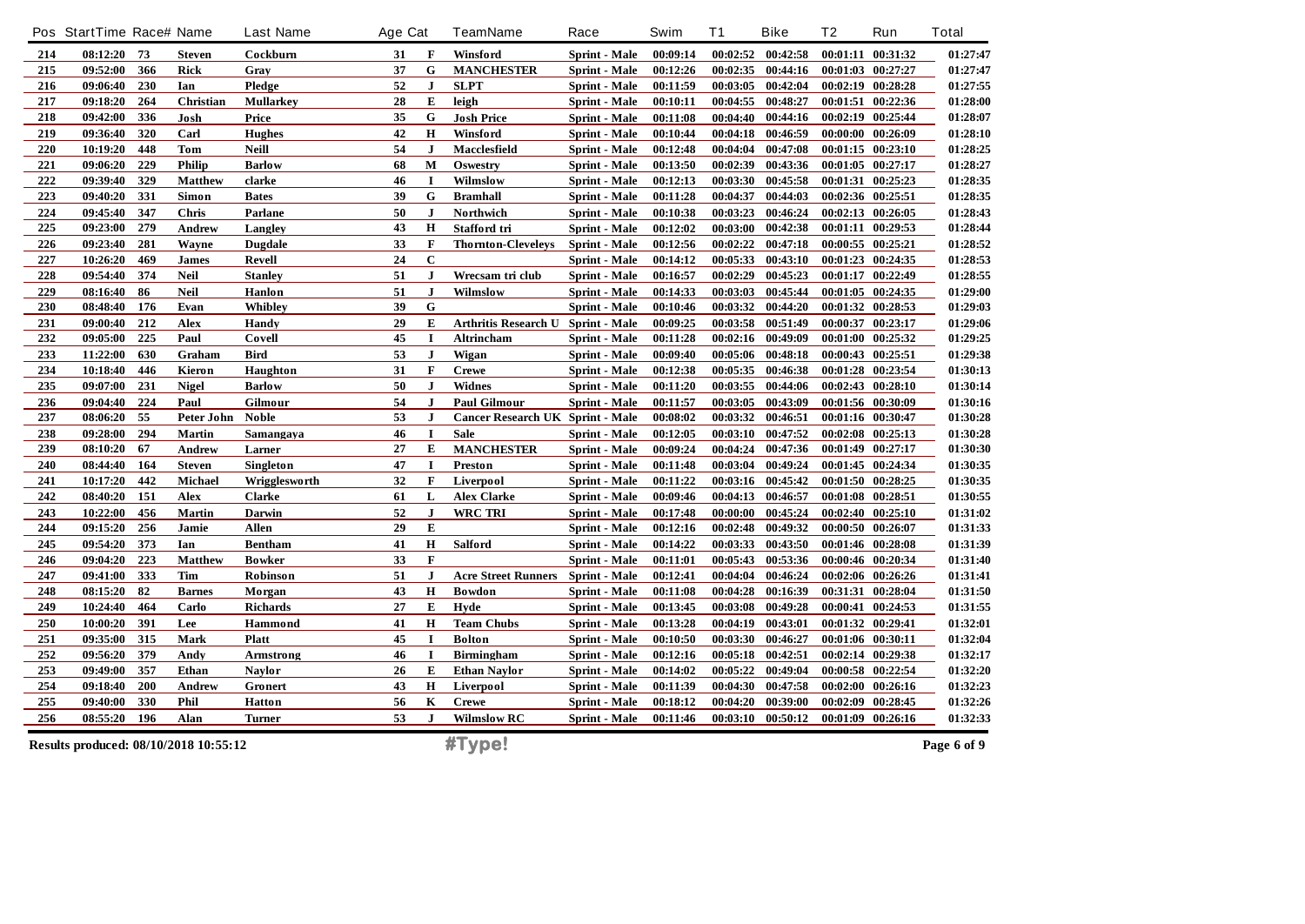|     | Pos StartTime Race# Name |     |                                       | <b>Last Name</b> | Age Cat |              | <b>TeamName</b>                         | Race                 | Swim     | T <sub>1</sub> | <b>Bike</b>       | Τ2       | Run               | <b>Total</b> |
|-----|--------------------------|-----|---------------------------------------|------------------|---------|--------------|-----------------------------------------|----------------------|----------|----------------|-------------------|----------|-------------------|--------------|
| 214 | 08:12:20                 | 73  | <b>Steven</b>                         | Cockburn         | 31      | $\mathbf F$  | Winsford                                | Sprint - Male        | 00:09:14 | 00:02:52       | 00:42:58          |          | 00:01:11 00:31:32 | 01:27:47     |
| 215 | 09:52:00                 | 366 | <b>Rick</b>                           | Gray             | 37      | G            | <b>MANCHESTER</b>                       | <b>Sprint</b> - Male | 00:12:26 | 00:02:35       | 00:44:16          | 00:01:03 | 00:27:27          | 01:27:47     |
| 216 | 09:06:40                 | 230 | Ian                                   | Pledge           | 52      | $\bf J$      | <b>SLPT</b>                             | Sprint - Male        | 00:11:59 | 00:03:05       | 00:42:04          |          | 00:02:19 00:28:28 | 01:27:55     |
| 217 | 09:18:20                 | 264 | Christian                             | <b>Mullarkey</b> | 28      | E            | leigh                                   | Sprint - Male        | 00:10:11 | 00:04:55       | 00:48:27          |          | 00:01:51 00:22:36 | 01:28:00     |
| 218 | 09:42:00                 | 336 | Josh                                  | Price            | 35      | G            | <b>Josh Price</b>                       | <b>Sprint</b> - Male | 00:11:08 | 00:04:40       | 00:44:16          |          | 00:02:19 00:25:44 | 01:28:07     |
| 219 | 09:36:40                 | 320 | Carl                                  | <b>Hughes</b>    | 42      | $\mathbf H$  | Winsford                                | Sprint - Male        | 00:10:44 | 00:04:18       | 00:46:59          |          | 00:00:00 00:26:09 | 01:28:10     |
| 220 | 10:19:20                 | 448 | Tom                                   | <b>Neill</b>     | 54      | J            | Macclesfield                            | Sprint - Male        | 00:12:48 | 00:04:04       | 00:47:08          |          | 00:01:15 00:23:10 | 01:28:25     |
| 221 | 09:06:20                 | 229 | <b>Philip</b>                         | <b>Barlow</b>    | 68      | $\mathbf{M}$ | Oswestry                                | Sprint - Male        | 00:13:50 | 00:02:39       | 00:43:36          |          | 00:01:05 00:27:17 | 01:28:27     |
| 222 | 09:39:40                 | 329 | <b>Matthew</b>                        | clarke           | 46      | $\mathbf I$  | Wilmslow                                | Sprint - Male        | 00:12:13 | 00:03:30       | 00:45:58          | 00:01:31 | 00:25:23          | 01:28:35     |
| 223 | 09:40:20                 | 331 | Simon                                 | <b>Bates</b>     | 39      | G            | <b>Bramhall</b>                         | <b>Sprint</b> - Male | 00:11:28 | 00:04:37       | 00:44:03          |          | 00:02:36 00:25:51 | 01:28:35     |
| 224 | 09:45:40                 | 347 | Chris                                 | Parlane          | 50      | J            | Northwich                               | Sprint - Male        | 00:10:38 | 00:03:23       | 00:46:24          |          | 00:02:13 00:26:05 | 01:28:43     |
| 225 | 09:23:00                 | 279 | <b>Andrew</b>                         | Langley          | 43      | H            | Stafford tri                            | Sprint - Male        | 00:12:02 | 00:03:00       | 00:42:38          |          | 00:01:11 00:29:53 | 01:28:44     |
| 226 | 09:23:40                 | 281 | Wayne                                 | <b>Dugdale</b>   | 33      | $\mathbf F$  | <b>Thornton-Cleveleys</b>               | Sprint - Male        | 00:12:56 | 00:02:22       | 00:47:18          |          | 00:00:55 00:25:21 | 01:28:52     |
| 227 | 10:26:20                 | 469 | <b>James</b>                          | Revell           | 24      | $\mathbf C$  |                                         | Sprint - Male        | 00:14:12 | 00:05:33       | 00:43:10          |          | 00:01:23 00:24:35 | 01:28:53     |
| 228 | 09:54:40                 | 374 | <b>Neil</b>                           | <b>Stanley</b>   | 51      | $\bf{J}$     | Wrecsam tri club                        | Sprint - Male        | 00:16:57 | 00:02:29       | 00:45:23          |          | 00:01:17 00:22:49 | 01:28:55     |
| 229 | 08:16:40                 | 86  | <b>Neil</b>                           | Hanlon           | 51      | J            | Wilmslow                                | <b>Sprint</b> - Male | 00:14:33 | 00:03:03       | 00:45:44          |          | 00:01:05 00:24:35 | 01:29:00     |
| 230 | 08:48:40                 | 176 | Evan                                  | Whibley          | 39      | G            |                                         | <b>Sprint - Male</b> | 00:10:46 |                | 00:03:32 00:44:20 |          | 00:01:32 00:28:53 | 01:29:03     |
| 231 | 09:00:40                 | 212 | Alex                                  | Handy            | 29      | E            | <b>Arthritis Research U</b>             | <b>Sprint - Male</b> | 00:09:25 | 00:03:58       | 00:51:49          |          | 00:00:37 00:23:17 | 01:29:06     |
| 232 | 09:05:00                 | 225 | Paul                                  | Covell           | 45      | $\mathbf I$  | Altrincham                              | <b>Sprint - Male</b> | 00:11:28 | 00:02:16       | 00:49:09          |          | 00:01:00 00:25:32 | 01:29:25     |
| 233 | 11:22:00                 | 630 | Graham                                | <b>Bird</b>      | 53      | $\bf J$      | Wigan                                   | <b>Sprint</b> - Male | 00:09:40 | 00:05:06       | 00:48:18          |          | 00:00:43 00:25:51 | 01:29:38     |
| 234 | 10:18:40                 | 446 | Kieron                                | Haughton         | 31      | $\mathbf F$  | <b>Crewe</b>                            | <b>Sprint</b> - Male | 00:12:38 | 00:05:35       | 00:46:38          |          | 00:01:28 00:23:54 | 01:30:13     |
| 235 | 09:07:00                 | 231 | <b>Nigel</b>                          | <b>Barlow</b>    | 50      | J            | <b>Widnes</b>                           | Sprint - Male        | 00:11:20 |                | 00:03:55 00:44:06 |          | 00:02:43 00:28:10 | 01:30:14     |
| 236 | 09:04:40                 | 224 | Paul                                  | Gilmour          | 54      | $\mathbf{J}$ | <b>Paul Gilmour</b>                     | Sprint - Male        | 00:11:57 | 00:03:05       | 00:43:09          |          | 00:01:56 00:30:09 | 01:30:16     |
| 237 | 08:06:20                 | 55  | Peter John                            | <b>Noble</b>     | 53      | $\mathbf{J}$ | <b>Cancer Research UK Sprint - Male</b> |                      | 00:08:02 | 00:03:32       | 00:46:51          |          | 00:01:16 00:30:47 | 01:30:28     |
| 238 | 09:28:00                 | 294 | Martin                                | Samangaya        | 46      | $\bf{I}$     | <b>Sale</b>                             | Sprint - Male        | 00:12:05 | 00:03:10       | 00:47:52          |          | 00:02:08 00:25:13 | 01:30:28     |
| 239 | 08:10:20                 | 67  | Andrew                                | Larner           | 27      | E            | <b>MANCHESTER</b>                       | Sprint - Male        | 00:09:24 | 00:04:24       | 00:47:36          |          | 00:01:49 00:27:17 | 01:30:30     |
| 240 | 08:44:40                 | 164 | <b>Steven</b>                         | Singleton        | 47      | $\mathbf I$  | <b>Preston</b>                          | Sprint - Male        | 00:11:48 | 00:03:04       | 00:49:24          |          | 00:01:45 00:24:34 | 01:30:35     |
| 241 | 10:17:20                 | 442 | <b>Michael</b>                        | Wrigglesworth    | 32      | $\mathbf F$  | Liverpool                               | Sprint - Male        | 00:11:22 | 00:03:16       | 00:45:42          |          | 00:01:50 00:28:25 | 01:30:35     |
| 242 | 08:40:20                 | 151 | Alex                                  | <b>Clarke</b>    | 61      | L            | <b>Alex Clarke</b>                      | <b>Sprint - Male</b> | 00:09:46 | 00:04:13       | 00:46:57          |          | 00:01:08 00:28:51 | 01:30:55     |
| 243 | 10:22:00                 | 456 | <b>Martin</b>                         | Darwin           | 52      | J            | WRC TRI                                 | Sprint - Male        | 00:17:48 | 00:00:00       | 00:45:24          |          | 00:02:40 00:25:10 | 01:31:02     |
| 244 | 09:15:20                 | 256 | Jamie                                 | <b>Allen</b>     | 29      | E            |                                         | Sprint - Male        | 00:12:16 | 00:02:48       | 00:49:32          |          | 00:00:50 00:26:07 | 01:31:33     |
| 245 | 09:54:20                 | 373 | Ian                                   | <b>Bentham</b>   | 41      | $\bf H$      | <b>Salford</b>                          | Sprint - Male        | 00:14:22 | 00:03:33       | 00:43:50          |          | 00:01:46 00:28:08 | 01:31:39     |
| 246 | 09:04:20                 | 223 | <b>Matthew</b>                        | <b>Bowker</b>    | 33      | $\mathbf F$  |                                         | Sprint - Male        | 00:11:01 | 00:05:43       | 00:53:36          |          | 00:00:46 00:20:34 | 01:31:40     |
| 247 | 09:41:00                 | 333 | <b>Tim</b>                            | Robinson         | 51      | $\mathbf{J}$ | <b>Acre Street Runners</b>              | Sprint - Male        | 00:12:41 | 00:04:04       | 00:46:24          |          | 00:02:06 00:26:26 | 01:31:41     |
| 248 | 08:15:20                 | 82  | <b>Barnes</b>                         | Morgan           | 43      | $\bf H$      | <b>Bowdon</b>                           | Sprint - Male        | 00:11:08 | 00:04:28       | 00:16:39          |          | 00:31:31 00:28:04 | 01:31:50     |
| 249 | 10:24:40                 | 464 | Carlo                                 | <b>Richards</b>  | 27      | E            | Hyde                                    | Sprint - Male        | 00:13:45 | 00:03:08       | 00:49:28          |          | 00:00:41 00:24:53 | 01:31:55     |
| 250 | 10:00:20                 | 391 | Lee                                   | Hammond          | 41      | $\mathbf H$  | <b>Team Chubs</b>                       | <b>Sprint - Male</b> | 00:13:28 | 00:04:19       | 00:43:01          |          | 00:01:32 00:29:41 | 01:32:01     |
| 251 | 09:35:00                 | 315 | Mark                                  | <b>Platt</b>     | 45      |              | <b>Bolton</b>                           | Sprint - Male        | 00:10:50 | 00:03:30       | 00:46:27          |          | 00:01:06 00:30:11 | 01:32:04     |
| 252 | 09:56:20                 | 379 | Andy                                  | Armstrong        | 46      | $\mathbf I$  | <b>Birmingham</b>                       | Sprint - Male        | 00:12:16 | 00:05:18       | 00:42:51          |          | 00:02:14 00:29:38 | 01:32:17     |
| 253 | 09:49:00                 | 357 | Ethan                                 | <b>Naylor</b>    | 26      | E            | <b>Ethan Naylor</b>                     | Sprint - Male        | 00:14:02 | 00:05:22       | 00:49:04          |          | 00:00:58 00:22:54 | 01:32:20     |
| 254 | 09:18:40                 | 200 | Andrew                                | Gronert          | 43      | $\mathbf H$  | Liverpool                               | Sprint - Male        | 00:11:39 | 00:04:30       | 00:47:58          |          | 00:02:00 00:26:16 | 01:32:23     |
| 255 | 09:40:00                 | 330 | Phil                                  | <b>Hatton</b>    | 56      | $\mathbf K$  | <b>Crewe</b>                            | <b>Sprint</b> - Male | 00:18:12 | 00:04:20       | 00:39:00          | 00:02:09 | 00:28:45          | 01:32:26     |
| 256 | 08:55:20                 | 196 | Alan                                  | <b>Turner</b>    | 53      | J            | <b>Wilmslow RC</b>                      | Sprint - Male        | 00:11:46 | 00:03:10       | 00:50:12          |          | 00:01:09 00:26:16 | 01:32:33     |
|     |                          |     | Results produced: 08/10/2018 10:55:12 |                  |         |              | #Type!                                  |                      |          |                |                   |          |                   | Page 6 of 9  |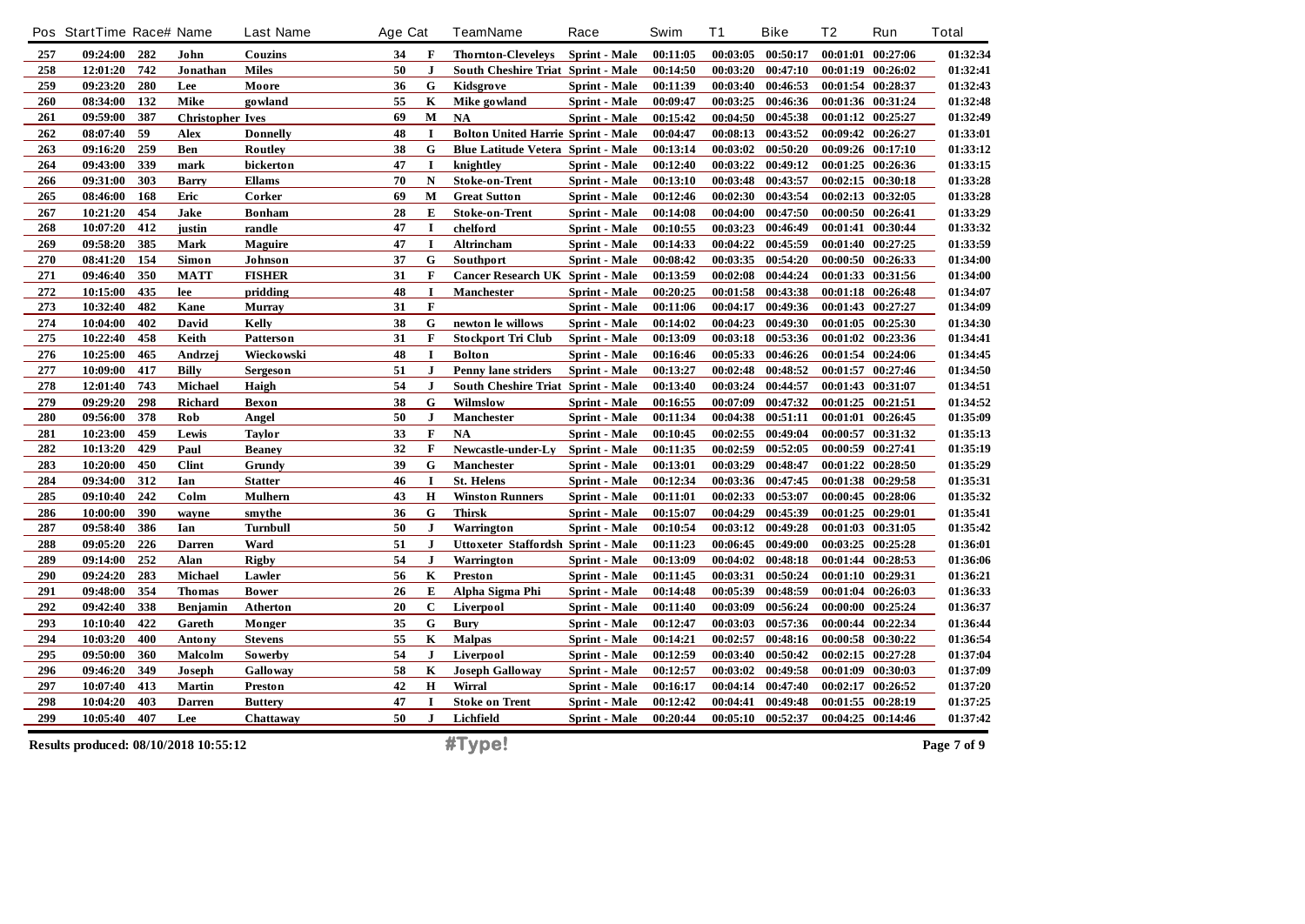|     | Pos StartTime Race# Name              |     |                         | <b>Last Name</b> | Age Cat |              | <b>TeamName</b>                           | Race                 | Swim     | <b>T1</b> | <b>Bike</b>       | T <sub>2</sub> | Run               | <b>Total</b> |
|-----|---------------------------------------|-----|-------------------------|------------------|---------|--------------|-------------------------------------------|----------------------|----------|-----------|-------------------|----------------|-------------------|--------------|
| 257 | 09:24:00                              | 282 | John                    | Couzins          | 34      | F            | <b>Thornton-Cleveleys</b>                 | Sprint - Male        | 00:11:05 |           | 00:03:05 00:50:17 |                | 00:01:01 00:27:06 | 01:32:34     |
| 258 | 12:01:20                              | 742 | Jonathan                | <b>Miles</b>     | 50      | $\mathbf{J}$ | South Cheshire Triat Sprint - Male        |                      | 00:14:50 | 00:03:20  | 00:47:10          |                | 00:01:19 00:26:02 | 01:32:41     |
| 259 | 09:23:20                              | 280 | Lee                     | Moore            | 36      | $\mathbf G$  | Kidsgrove                                 | <b>Sprint - Male</b> | 00:11:39 | 00:03:40  | 00:46:53          |                | 00:01:54 00:28:37 | 01:32:43     |
| 260 | 08:34:00                              | 132 | Mike                    | go wland         | 55      | $\mathbf K$  | Mike gowland                              | Sprint - Male        | 00:09:47 | 00:03:25  | 00:46:36          |                | 00:01:36 00:31:24 | 01:32:48     |
| 261 | 09:59:00                              | 387 | <b>Christopher Ives</b> |                  | 69      | M            | <b>NA</b>                                 | Sprint - Male        | 00:15:42 | 00:04:50  | 00:45:38          |                | 00:01:12 00:25:27 | 01:32:49     |
| 262 | 08:07:40                              | 59  | <b>Alex</b>             | <b>Donnelly</b>  | 48      | $\mathbf I$  | <b>Bolton United Harrie Sprint - Male</b> |                      | 00:04:47 | 00:08:13  | 00:43:52          |                | 00:09:42 00:26:27 | 01:33:01     |
| 263 | 09:16:20                              | 259 | Ben                     | Routley          | 38      | G            | <b>Blue Latitude Vetera Sprint - Male</b> |                      | 00:13:14 | 00:03:02  | 00:50:20          |                | 00:09:26 00:17:10 | 01:33:12     |
| 264 | 09:43:00                              | 339 | mark                    | bickerton        | 47      | I            | knightlev                                 | Sprint - Male        | 00:12:40 | 00:03:22  | 00:49:12          |                | 00:01:25 00:26:36 | 01:33:15     |
| 266 | 09:31:00                              | 303 | <b>Barry</b>            | <b>Ellams</b>    | 70      | $\mathbf N$  | Stoke-on-Trent                            | Sprint - Male        | 00:13:10 | 00:03:48  | 00:43:57          |                | 00:02:15 00:30:18 | 01:33:28     |
| 265 | 08:46:00                              | 168 | Eric                    | Corker           | 69      | M            | <b>Great Sutton</b>                       | <b>Sprint</b> - Male | 00:12:46 | 00:02:30  | 00:43:54          |                | 00:02:13 00:32:05 | 01:33:28     |
| 267 | 10:21:20                              | 454 | Jake                    | Bonham           | 28      | E            | Stoke-on-Trent                            | Sprint - Male        | 00:14:08 | 00:04:00  | 00:47:50          |                | 00:00:50 00:26:41 | 01:33:29     |
| 268 | 10:07:20                              | 412 | justin                  | randle           | 47      | $\bf{I}$     | chelford                                  | Sprint - Male        | 00:10:55 | 00:03:23  | 00:46:49          |                | 00:01:41 00:30:44 | 01:33:32     |
| 269 | 09:58:20                              | 385 | Mark                    | <b>Maguire</b>   | 47      | $\mathbf I$  | Altrincham                                | Sprint - Male        | 00:14:33 | 00:04:22  | 00:45:59          | 00:01:40       | 00:27:25          | 01:33:59     |
| 270 | 08:41:20                              | 154 | Simon                   | Johnson          | 37      | G            | Southport                                 | Sprint - Male        | 00:08:42 | 00:03:35  | 00:54:20          |                | 00:00:50 00:26:33 | 01:34:00     |
| 271 | 09:46:40                              | 350 | <b>MATT</b>             | <b>FISHER</b>    | 31      | F            | Cancer Research UK Sprint - Male          |                      | 00:13:59 | 00:02:08  | 00:44:24          |                | 00:01:33 00:31:56 | 01:34:00     |
| 272 | 10:15:00                              | 435 | lee                     | pridding         | 48      | $\mathbf I$  | <b>Manchester</b>                         | <b>Sprint</b> - Male | 00:20:25 | 00:01:58  | 00:43:38          |                | 00:01:18 00:26:48 | 01:34:07     |
| 273 | 10:32:40                              | 482 | Kane                    | <b>Murray</b>    | 31      | $\mathbf{F}$ |                                           | Sprint - Male        | 00:11:06 | 00:04:17  | 00:49:36          |                | 00:01:43 00:27:27 | 01:34:09     |
| 274 | 10:04:00                              | 402 | David                   | Kelly            | 38      | G            | newton le willows                         | Sprint - Male        | 00:14:02 | 00:04:23  | 00:49:30          |                | 00:01:05 00:25:30 | 01:34:30     |
| 275 | 10:22:40                              | 458 | Keith                   | Patterson        | 31      | $\mathbf F$  | <b>Stockport Tri Club</b>                 | Sprint - Male        | 00:13:09 | 00:03:18  | 00:53:36          |                | 00:01:02 00:23:36 | 01:34:41     |
| 276 | 10:25:00                              | 465 | Andrzej                 | Wieckowski       | 48      | I            | <b>Bolton</b>                             | Sprint - Male        | 00:16:46 | 00:05:33  | 00:46:26          |                | 00:01:54 00:24:06 | 01:34:45     |
| 277 | 10:09:00                              | 417 | <b>Billy</b>            | Sergeson         | 51      | ${\bf J}$    | <b>Penny lane striders</b>                | Sprint - Male        | 00:13:27 | 00:02:48  | 00:48:52          |                | 00:01:57 00:27:46 | 01:34:50     |
| 278 | 12:01:40                              | 743 | Michael                 | Haigh            | 54      | $\mathbf{J}$ | South Cheshire Triat Sprint - Male        |                      | 00:13:40 | 00:03:24  | 00:44:57          |                | 00:01:43 00:31:07 | 01:34:51     |
| 279 | 09:29:20                              | 298 | Richard                 | <b>Bexon</b>     | 38      | $\mathbf G$  | Wilmslow                                  | Sprint - Male        | 00:16:55 | 00:07:09  | 00:47:32          |                | 00:01:25 00:21:51 | 01:34:52     |
| 280 | 09:56:00                              | 378 | Rob                     | Angel            | 50      | $\mathbf{J}$ | <b>Manchester</b>                         | Sprint - Male        | 00:11:34 | 00:04:38  | 00:51:11          | 00:01:01       | 00:26:45          | 01:35:09     |
| 281 | 10:23:00                              | 459 | Lewis                   | <b>Taylor</b>    | 33      | $\mathbf F$  | NA                                        | Sprint - Male        | 00:10:45 | 00:02:55  | 00:49:04          |                | 00:00:57 00:31:32 | 01:35:13     |
| 282 | 10:13:20                              | 429 | Paul                    | <b>Beaney</b>    | 32      | F            | Newcastle-under-Ly                        | Sprint - Male        | 00:11:35 | 00:02:59  | 00:52:05          | 00:00:59       | 00:27:41          | 01:35:19     |
| 283 | 10:20:00                              | 450 | <b>Clint</b>            | Grundy           | 39      | G            | <b>Manchester</b>                         | Sprint - Male        | 00:13:01 | 00:03:29  | 00:48:47          |                | 00:01:22 00:28:50 | 01:35:29     |
| 284 | 09:34:00                              | 312 | Ian                     | <b>Statter</b>   | 46      | $\mathbf I$  | <b>St. Helens</b>                         | Sprint - Male        | 00:12:34 | 00:03:36  | 00:47:45          |                | 00:01:38 00:29:58 | 01:35:31     |
| 285 | 09:10:40                              | 242 | $_{\rm{Colm}}$          | Mulhern          | 43      | $\mathbf H$  | <b>Winston Runners</b>                    | <b>Sprint</b> - Male | 00:11:01 | 00:02:33  | 00:53:07          |                | 00:00:45 00:28:06 | 01:35:32     |
| 286 | 10:00:00                              | 390 | wayne                   | smythe           | 36      | ${\bf G}$    | <b>Thirsk</b>                             | Sprint - Male        | 00:15:07 | 00:04:29  | 00:45:39          |                | 00:01:25 00:29:01 | 01:35:41     |
| 287 | 09:58:40                              | 386 | Ian                     | <b>Turnbull</b>  | 50      | ${\bf J}$    | Warrington                                | Sprint - Male        | 00:10:54 | 00:03:12  | 00:49:28          |                | 00:01:03 00:31:05 | 01:35:42     |
| 288 | 09:05:20                              | 226 | <b>Darren</b>           | Ward             | 51      | J            | Uttoxeter Staffordsh Sprint - Male        |                      | 00:11:23 |           | 00:06:45 00:49:00 |                | 00:03:25 00:25:28 | 01:36:01     |
| 289 | 09:14:00                              | 252 | Alan                    | <b>Rigby</b>     | 54      | J            | Warrington                                | Sprint - Male        | 00:13:09 | 00:04:02  | 00:48:18          |                | 00:01:44 00:28:53 | 01:36:06     |
| 290 | 09:24:20                              | 283 | Michael                 | Lawler           | 56      | $\bf K$      | Preston                                   | Sprint - Male        | 00:11:45 | 00:03:31  | 00:50:24          |                | 00:01:10 00:29:31 | 01:36:21     |
| 291 | 09:48:00                              | 354 | <b>Thomas</b>           | <b>Bower</b>     | 26      | $\bf{E}$     | Alpha Sigma Phi                           | <b>Sprint</b> - Male | 00:14:48 | 00:05:39  | 00:48:59          |                | 00:01:04 00:26:03 | 01:36:33     |
| 292 | 09:42:40                              | 338 | Benjamin                | Atherton         | 20      | $\mathbf C$  | Liverpool                                 | Sprint - Male        | 00:11:40 | 00:03:09  | 00:56:24          |                | 00:00:00 00:25:24 | 01:36:37     |
| 293 | 10:10:40                              | 422 | Gareth                  | Monger           | 35      | $\mathbf G$  | <b>Bury</b>                               | Sprint - Male        | 00:12:47 | 00:03:03  | 00:57:36          |                | 00:00:44 00:22:34 | 01:36:44     |
| 294 | 10:03:20                              | 400 | Antony                  | <b>Stevens</b>   | 55      | $\bf K$      | <b>Malpas</b>                             | Sprint - Male        | 00:14:21 | 00:02:57  | 00:48:16          |                | 00:00:58 00:30:22 | 01:36:54     |
| 295 | 09:50:00                              | 360 | Malcolm                 | Sowerby          | 54      | $\mathbf{J}$ | Liverpool                                 | Sprint - Male        | 00:12:59 | 00:03:40  | 00:50:42          |                | 00:02:15 00:27:28 | 01:37:04     |
| 296 | 09:46:20                              | 349 | Joseph                  | <b>Galloway</b>  | 58      | $\mathbf K$  | <b>Joseph Galloway</b>                    | Sprint - Male        | 00:12:57 | 00:03:02  | 00:49:58          |                | 00:01:09 00:30:03 | 01:37:09     |
| 297 | 10:07:40                              | 413 | <b>Martin</b>           | <b>Preston</b>   | 42      | $\bf H$      | Wirral                                    | Sprint - Male        | 00:16:17 | 00:04:14  | 00:47:40          |                | 00:02:17 00:26:52 | 01:37:20     |
| 298 | 10:04:20                              | 403 | <b>Darren</b>           | <b>Buttery</b>   | 47      | I            | <b>Stoke on Trent</b>                     | Sprint - Male        | 00:12:42 | 00:04:41  | 00:49:48          |                | 00:01:55 00:28:19 | 01:37:25     |
| 299 | 10:05:40                              | 407 | Lee                     | Chattaway        | 50      | $\mathbf{J}$ | Lichfield                                 | Sprint - Male        | 00:20:44 |           | 00:05:10 00:52:37 |                | 00:04:25 00:14:46 | 01:37:42     |
|     | Results produced: 08/10/2018 10:55:12 |     |                         |                  |         |              | #Type!                                    |                      |          |           |                   |                |                   | Page 7 of 9  |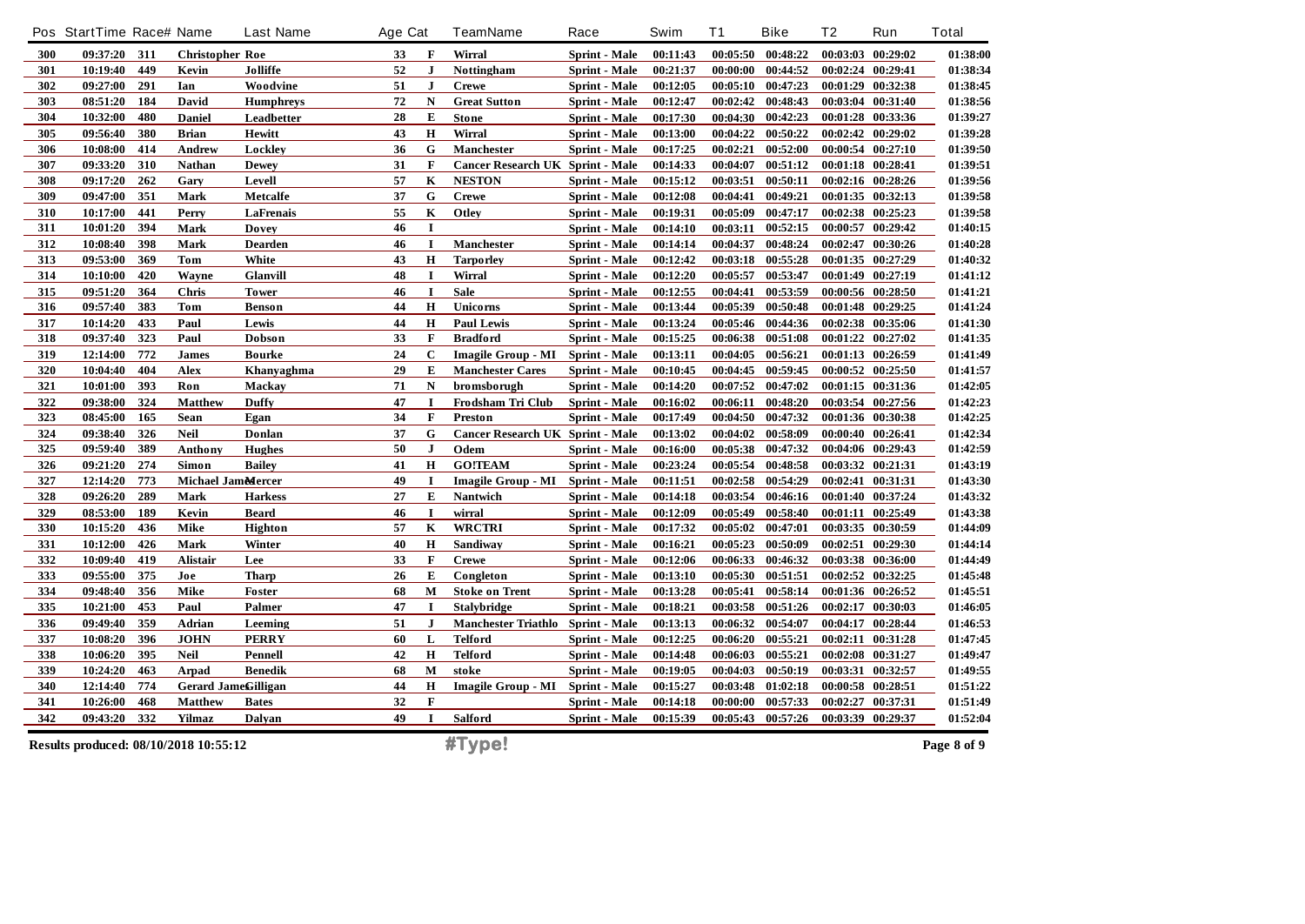|     | Pos StartTime Race# Name |     |                                       | <b>Last Name</b> | Age Cat |              | <b>TeamName</b>                         | Race                 | Swim     | T <sub>1</sub> | <b>Bike</b>       | Τ2       | Run               | <b>Total</b> |
|-----|--------------------------|-----|---------------------------------------|------------------|---------|--------------|-----------------------------------------|----------------------|----------|----------------|-------------------|----------|-------------------|--------------|
| 300 | 09:37:20                 | 311 | <b>Christopher Roe</b>                |                  | 33      | F            | Wirral                                  | Sprint - Male        | 00:11:43 | 00:05:50       | 00:48:22          |          | 00:03:03 00:29:02 | 01:38:00     |
| 301 | 10:19:40                 | 449 | Kevin                                 | Jolliffe         | 52      | $\mathbf{J}$ | Nottingham                              | <b>Sprint</b> - Male | 00:21:37 | 00:00:00       | 00:44:52          |          | 00:02:24 00:29:41 | 01:38:34     |
| 302 | 09:27:00                 | 291 | Ian                                   | Woodvine         | 51      | $\bf J$      | <b>Crewe</b>                            | Sprint - Male        | 00:12:05 | 00:05:10       | 00:47:23          |          | 00:01:29 00:32:38 | 01:38:45     |
| 303 | 08:51:20                 | 184 | David                                 | <b>Humphreys</b> | 72      | ${\bf N}$    | <b>Great Sutton</b>                     | Sprint - Male        | 00:12:47 | 00:02:42       | 00:48:43          |          | 00:03:04 00:31:40 | 01:38:56     |
| 304 | 10:32:00                 | 480 | <b>Daniel</b>                         | Leadbetter       | 28      | ${\bf E}$    | <b>Stone</b>                            | <b>Sprint</b> - Male | 00:17:30 | 00:04:30       | 00:42:23          |          | 00:01:28 00:33:36 | 01:39:27     |
| 305 | 09:56:40                 | 380 | <b>Brian</b>                          | Hewitt           | 43      | Н            | Wirral                                  | Sprint - Male        | 00:13:00 | 00:04:22       | 00:50:22          |          | 00:02:42 00:29:02 | 01:39:28     |
| 306 | 10:08:00                 | 414 | <b>Andrew</b>                         | Lockley          | 36      | G            | Manchester                              | <b>Sprint</b> - Male | 00:17:25 | 00:02:21       | 00:52:00          |          | 00:00:54 00:27:10 | 01:39:50     |
| 307 | 09:33:20                 | 310 | <b>Nathan</b>                         | <b>Dewey</b>     | 31      | F            | <b>Cancer Research UK Sprint - Male</b> |                      | 00:14:33 | 00:04:07       | 00:51:12          |          | 00:01:18 00:28:41 | 01:39:51     |
| 308 | 09:17:20                 | 262 | Gary                                  | Levell           | 57      | $\bf K$      | <b>NESTON</b>                           | Sprint - Male        | 00:15:12 | 00:03:51       | 00:50:11          |          | 00:02:16 00:28:26 | 01:39:56     |
| 309 | 09:47:00                 | 351 | Mark                                  | <b>Metcalfe</b>  | 37      | G            | <b>Crewe</b>                            | <b>Sprint</b> - Male | 00:12:08 | 00:04:41       | 00:49:21          |          | 00:01:35 00:32:13 | 01:39:58     |
| 310 | 10:17:00                 | 441 | Perry                                 | LaFrenais        | 55      | K            | Otley                                   | Sprint - Male        | 00:19:31 | 00:05:09       | 00:47:17          |          | 00:02:38 00:25:23 | 01:39:58     |
| 311 | 10:01:20                 | 394 | Mark                                  | <b>Dovey</b>     | 46      | $\mathbf I$  |                                         | Sprint - Male        | 00:14:10 | 00:03:11       | 00:52:15          |          | 00:00:57 00:29:42 | 01:40:15     |
| 312 | 10:08:40                 | 398 | Mark                                  | <b>Dearden</b>   | 46      | $\mathbf I$  | Manchester                              | <b>Sprint - Male</b> | 00:14:14 | 00:04:37       | 00:48:24          |          | 00:02:47 00:30:26 | 01:40:28     |
| 313 | 09:53:00                 | 369 | Tom                                   | White            | 43      | $\mathbf H$  | <b>Tarporley</b>                        | Sprint - Male        | 00:12:42 | 00:03:18       | 00:55:28          |          | 00:01:35 00:27:29 | 01:40:32     |
| 314 | 10:10:00                 | 420 | Wayne                                 | <b>Glanvill</b>  | 48      | $\bf{I}$     | Wirral                                  | <b>Sprint</b> - Male | 00:12:20 | 00:05:57       | 00:53:47          |          | 00:01:49 00:27:19 | 01:41:12     |
| 315 | 09:51:20                 | 364 | <b>Chris</b>                          | <b>Tower</b>     | 46      | $\mathbf I$  | <b>Sale</b>                             | <b>Sprint</b> - Male | 00:12:55 | 00:04:41       | 00:53:59          |          | 00:00:56 00:28:50 | 01:41:21     |
| 316 | 09:57:40                 | 383 | Tom                                   | <b>Benson</b>    | 44      | H            | Unicorns                                | Sprint - Male        | 00:13:44 | 00:05:39       | 00:50:48          |          | 00:01:48 00:29:25 | 01:41:24     |
| 317 | 10:14:20                 | 433 | Paul                                  | Lewis            | 44      | $\mathbf H$  | <b>Paul Lewis</b>                       | Sprint - Male        | 00:13:24 | 00:05:46       | 00:44:36          |          | 00:02:38 00:35:06 | 01:41:30     |
| 318 | 09:37:40                 | 323 | Paul                                  | Dobson           | 33      | F            | <b>Bradford</b>                         | Sprint - Male        | 00:15:25 | 00:06:38       | 00:51:08          |          | 00:01:22 00:27:02 | 01:41:35     |
| 319 | 12:14:00                 | 772 | <b>James</b>                          | <b>Bourke</b>    | 24      | $\mathbf C$  | <b>Imagile Group - MI</b>               | <b>Sprint - Male</b> | 00:13:11 | 00:04:05       | 00:56:21          |          | 00:01:13 00:26:59 | 01:41:49     |
| 320 | 10:04:40                 | 404 | Alex                                  | Khanyaghma       | 29      | ${\bf E}$    | <b>Manchester Cares</b>                 | <b>Sprint - Male</b> | 00:10:45 | 00:04:45       | 00:59:45          |          | 00:00:52 00:25:50 | 01:41:57     |
| 321 | 10:01:00                 | 393 | Ron                                   | <b>Mackay</b>    | 71      | ${\bf N}$    | bromsborugh                             | Sprint - Male        | 00:14:20 | 00:07:52       | 00:47:02          |          | 00:01:15 00:31:36 | 01:42:05     |
| 322 | 09:38:00                 | 324 | <b>Matthew</b>                        | <b>Duffy</b>     | 47      | $\mathbf I$  | Frodsham Tri Club                       | Sprint - Male        | 00:16:02 | 00:06:11       | 00:48:20          |          | 00:03:54 00:27:56 | 01:42:23     |
| 323 | 08:45:00                 | 165 | Sean                                  | Egan             | 34      | $\mathbf F$  | Preston                                 | <b>Sprint - Male</b> | 00:17:49 | 00:04:50       | 00:47:32          |          | 00:01:36 00:30:38 | 01:42:25     |
| 324 | 09:38:40                 | 326 | <b>Neil</b>                           | Donlan           | 37      | G            | Cancer Research UK Sprint - Male        |                      | 00:13:02 | 00:04:02       | 00:58:09          |          | 00:00:40 00:26:41 | 01:42:34     |
| 325 | 09:59:40                 | 389 | Anthony                               | <b>Hughes</b>    | 50      | $\mathbf{J}$ | Odem                                    | Sprint - Male        | 00:16:00 | 00:05:38       | 00:47:32          |          | 00:04:06 00:29:43 | 01:42:59     |
| 326 | 09:21:20                 | 274 | Simon                                 | <b>Bailey</b>    | 41      | $\bf H$      | <b>GO!TEAM</b>                          | Sprint - Male        | 00:23:24 | 00:05:54       | 00:48:58          |          | 00:03:32 00:21:31 | 01:43:19     |
| 327 | 12:14:20                 | 773 | Michael Jamesercer                    |                  | 49      | $\mathbf I$  | <b>Imagile Group - MI</b>               | <b>Sprint - Male</b> | 00:11:51 | 00:02:58       | 00:54:29          |          | 00:02:41 00:31:31 | 01:43:30     |
| 328 | 09:26:20                 | 289 | Mark                                  | <b>Harkess</b>   | 27      | ${\bf E}$    | Nantwich                                | <b>Sprint - Male</b> | 00:14:18 | 00:03:54       | 00:46:16          |          | 00:01:40 00:37:24 | 01:43:32     |
| 329 | 08:53:00                 | 189 | Kevin                                 | <b>Beard</b>     | 46      | $\mathbf I$  | wirral                                  | Sprint - Male        | 00:12:09 | 00:05:49       | 00:58:40          |          | 00:01:11 00:25:49 | 01:43:38     |
| 330 | 10:15:20                 | 436 | <b>Mike</b>                           | <b>Highton</b>   | 57      | $\bf K$      | <b>WRCTRI</b>                           | Sprint - Male        | 00:17:32 | 00:05:02       | 00:47:01          |          | 00:03:35 00:30:59 | 01:44:09     |
| 331 | 10:12:00                 | 426 | Mark                                  | Winter           | 40      | $\mathbf H$  | Sandiway                                | Sprint - Male        | 00:16:21 | 00:05:23       | 00:50:09          |          | 00:02:51 00:29:30 | 01:44:14     |
| 332 | 10:09:40                 | 419 | <b>Alistair</b>                       | Lee              | 33      | $\mathbf F$  | <b>Crewe</b>                            | Sprint - Male        | 00:12:06 | 00:06:33       | 00:46:32          |          | 00:03:38 00:36:00 | 01:44:49     |
| 333 | 09:55:00                 | 375 | Joe                                   | <b>Tharp</b>     | 26      | ${\bf E}$    | Congleton                               | <b>Sprint</b> - Male | 00:13:10 | 00:05:30       | 00:51:51          |          | 00:02:52 00:32:25 | 01:45:48     |
| 334 | 09:48:40                 | 356 | Mike                                  | Foster           | 68      | M            | <b>Stoke on Trent</b>                   | Sprint - Male        | 00:13:28 | 00:05:41       | 00:58:14          |          | 00:01:36 00:26:52 | 01:45:51     |
| 335 | 10:21:00                 | 453 | Paul                                  | Palmer           | 47      | $\bf{I}$     | <b>Stalybridge</b>                      | Sprint - Male        | 00:18:21 | 00:03:58       | 00:51:26          |          | 00:02:17 00:30:03 | 01:46:05     |
| 336 | 09:49:40                 | 359 | Adrian                                | Leeming          | 51      | $\bf{J}$     | Manchester Triathlo Sprint - Male       |                      | 00:13:13 | 00:06:32       | 00:54:07          |          | 00:04:17 00:28:44 | 01:46:53     |
| 337 | 10:08:20                 | 396 | <b>JOHN</b>                           | <b>PERRY</b>     | 60      | L            | <b>Telford</b>                          | Sprint - Male        | 00:12:25 | 00:06:20       | 00:55:21          |          | 00:02:11 00:31:28 | 01:47:45     |
| 338 | 10:06:20                 | 395 | <b>Neil</b>                           | Pennell          | 42      | $\mathbf H$  | <b>Telford</b>                          | Sprint - Male        | 00:14:48 | 00:06:03       | 00:55:21          |          | 00:02:08 00:31:27 | 01:49:47     |
| 339 | 10:24:20                 | 463 | Arpad                                 | <b>Benedik</b>   | 68      | M            | stoke                                   | Sprint - Male        | 00:19:05 | 00:04:03       | 00:50:19          | 00:03:31 | 00:32:57          | 01:49:55     |
| 340 | 12:14:40                 | 774 | Gerard JameGilligan                   |                  | 44      | $\mathbf H$  | <b>Imagile Group - MI</b>               | <b>Sprint - Male</b> | 00:15:27 | 00:03:48       | 01:02:18          |          | 00:00:58 00:28:51 | 01:51:22     |
| 341 | 10:26:00                 | 468 | <b>Matthew</b>                        | <b>Bates</b>     | 32      | $\mathbf F$  |                                         | <b>Sprint</b> - Male | 00:14:18 | 00:00:00       | 00:57:33          |          | 00:02:27 00:37:31 | 01:51:49     |
| 342 | 09:43:20                 | 332 | Yilmaz                                | Dalyan           | 49      | $\mathbf I$  | <b>Salford</b>                          | Sprint - Male        | 00:15:39 |                | 00:05:43 00:57:26 |          | 00:03:39 00:29:37 | 01:52:04     |
|     |                          |     | Results produced: 08/10/2018 10:55:12 |                  |         |              | #Type!                                  |                      |          |                |                   |          |                   | Page 8 of 9  |